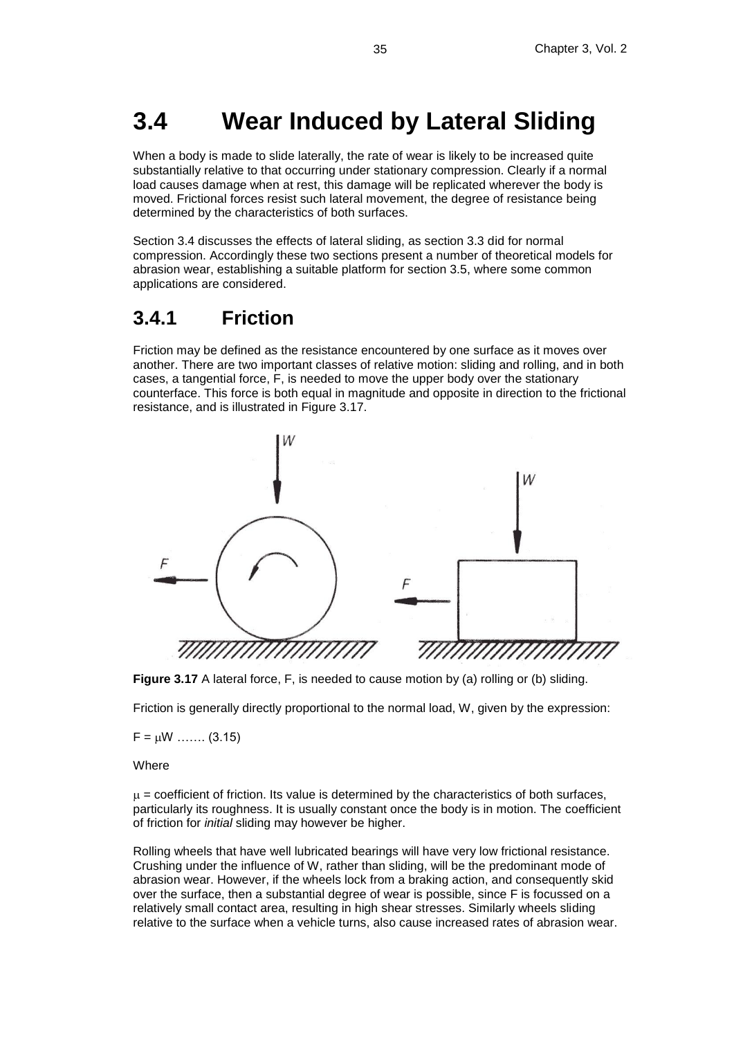# **3.4 Wear Induced by Lateral Sliding**

When a body is made to slide laterally, the rate of wear is likely to be increased quite substantially relative to that occurring under stationary compression. Clearly if a normal load causes damage when at rest, this damage will be replicated wherever the body is moved. Frictional forces resist such lateral movement, the degree of resistance being determined by the characteristics of both surfaces.

Section 3.4 discusses the effects of lateral sliding, as section 3.3 did for normal compression. Accordingly these two sections present a number of theoretical models for abrasion wear, establishing a suitable platform for section 3.5, where some common applications are considered.

### **3.4.1 Friction**

Friction may be defined as the resistance encountered by one surface as it moves over another. There are two important classes of relative motion: sliding and rolling, and in both cases, a tangential force, F, is needed to move the upper body over the stationary counterface. This force is both equal in magnitude and opposite in direction to the frictional resistance, and is illustrated in Figure 3.17.



**Figure 3.17** A lateral force, F, is needed to cause motion by (a) rolling or (b) sliding.

Friction is generally directly proportional to the normal load, W, given by the expression:

 $F = uW$  …….. (3.15)

**Where** 

 $\mu$  = coefficient of friction. Its value is determined by the characteristics of both surfaces, particularly its roughness. It is usually constant once the body is in motion. The coefficient of friction for *initial* sliding may however be higher.

Rolling wheels that have well lubricated bearings will have very low frictional resistance. Crushing under the influence of W, rather than sliding, will be the predominant mode of abrasion wear. However, if the wheels lock from a braking action, and consequently skid over the surface, then a substantial degree of wear is possible, since F is focussed on a relatively small contact area, resulting in high shear stresses. Similarly wheels sliding relative to the surface when a vehicle turns, also cause increased rates of abrasion wear.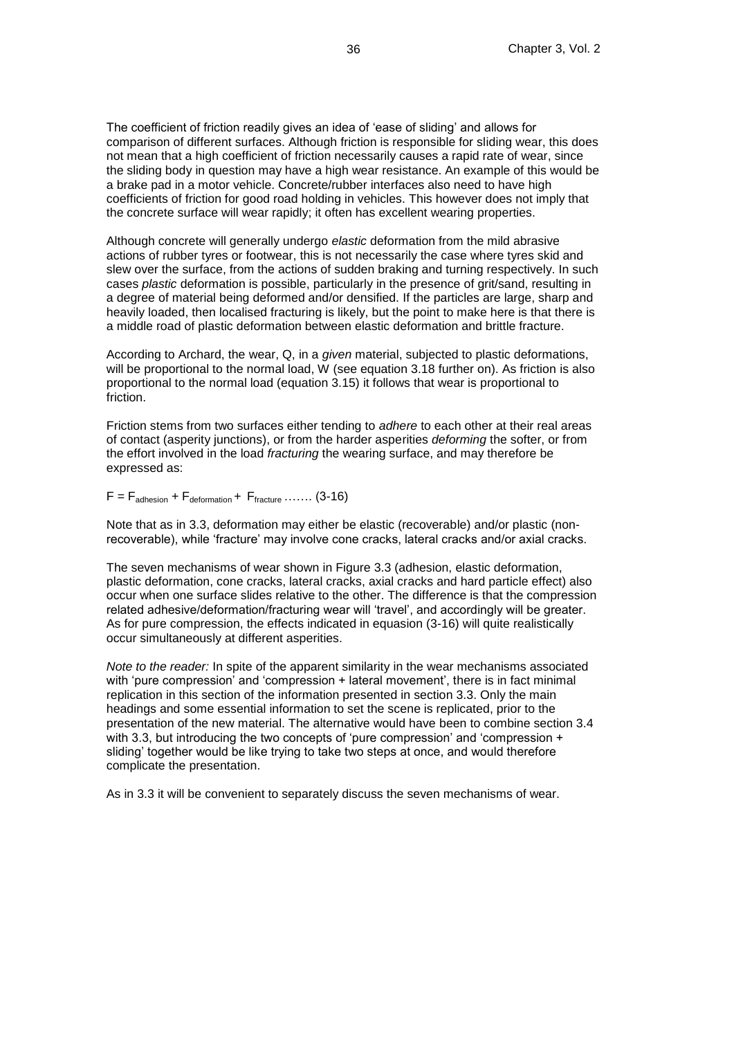The coefficient of friction readily gives an idea of 'ease of sliding' and allows for comparison of different surfaces. Although friction is responsible for sliding wear, this does not mean that a high coefficient of friction necessarily causes a rapid rate of wear, since the sliding body in question may have a high wear resistance. An example of this would be a brake pad in a motor vehicle. Concrete/rubber interfaces also need to have high coefficients of friction for good road holding in vehicles. This however does not imply that the concrete surface will wear rapidly; it often has excellent wearing properties.

Although concrete will generally undergo *elastic* deformation from the mild abrasive actions of rubber tyres or footwear, this is not necessarily the case where tyres skid and slew over the surface, from the actions of sudden braking and turning respectively. In such cases *plastic* deformation is possible, particularly in the presence of grit/sand, resulting in a degree of material being deformed and/or densified. If the particles are large, sharp and heavily loaded, then localised fracturing is likely, but the point to make here is that there is a middle road of plastic deformation between elastic deformation and brittle fracture.

According to Archard, the wear, Q, in a *given* material, subjected to plastic deformations, will be proportional to the normal load, W (see equation 3.18 further on). As friction is also proportional to the normal load (equation 3.15) it follows that wear is proportional to friction.

Friction stems from two surfaces either tending to *adhere* to each other at their real areas of contact (asperity junctions), or from the harder asperities *deforming* the softer, or from the effort involved in the load *fracturing* the wearing surface, and may therefore be expressed as:

 $F = F_{\text{adhesion}} + F_{\text{deformation}} + F_{\text{fracture}} \dots \dots (3-16)$ 

Note that as in 3.3, deformation may either be elastic (recoverable) and/or plastic (nonrecoverable), while 'fracture' may involve cone cracks, lateral cracks and/or axial cracks.

The seven mechanisms of wear shown in Figure 3.3 (adhesion, elastic deformation, plastic deformation, cone cracks, lateral cracks, axial cracks and hard particle effect) also occur when one surface slides relative to the other. The difference is that the compression related adhesive/deformation/fracturing wear will 'travel', and accordingly will be greater. As for pure compression, the effects indicated in equasion (3-16) will quite realistically occur simultaneously at different asperities.

*Note to the reader:* In spite of the apparent similarity in the wear mechanisms associated with 'pure compression' and 'compression + lateral movement', there is in fact minimal replication in this section of the information presented in section 3.3. Only the main headings and some essential information to set the scene is replicated, prior to the presentation of the new material. The alternative would have been to combine section 3.4 with 3.3, but introducing the two concepts of 'pure compression' and 'compression + sliding' together would be like trying to take two steps at once, and would therefore complicate the presentation.

As in 3.3 it will be convenient to separately discuss the seven mechanisms of wear.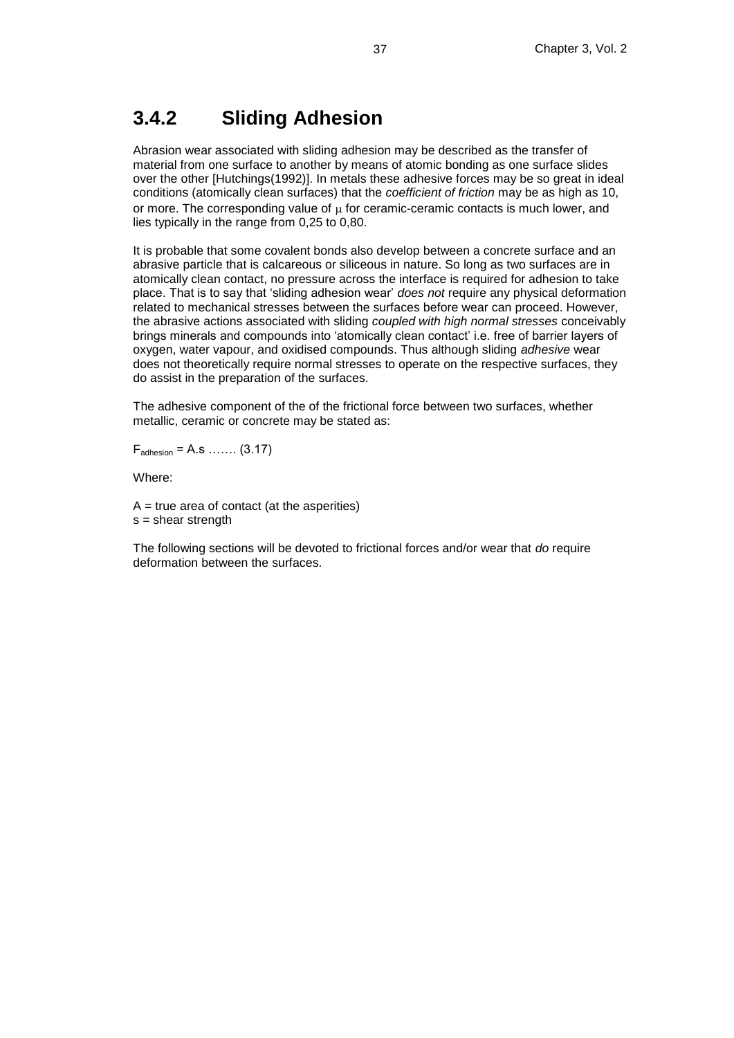## **3.4.2 Sliding Adhesion**

Abrasion wear associated with sliding adhesion may be described as the transfer of material from one surface to another by means of atomic bonding as one surface slides over the other [Hutchings(1992)]. In metals these adhesive forces may be so great in ideal conditions (atomically clean surfaces) that the *coefficient of friction* may be as high as 10, or more. The corresponding value of  $\mu$  for ceramic-ceramic contacts is much lower, and lies typically in the range from 0,25 to 0,80.

It is probable that some covalent bonds also develop between a concrete surface and an abrasive particle that is calcareous or siliceous in nature. So long as two surfaces are in atomically clean contact, no pressure across the interface is required for adhesion to take place. That is to say that 'sliding adhesion wear' *does not* require any physical deformation related to mechanical stresses between the surfaces before wear can proceed. However, the abrasive actions associated with sliding *coupled with high normal stresses* conceivably brings minerals and compounds into 'atomically clean contact' i.e. free of barrier layers of oxygen, water vapour, and oxidised compounds. Thus although sliding *adhesive* wear does not theoretically require normal stresses to operate on the respective surfaces, they do assist in the preparation of the surfaces.

The adhesive component of the of the frictional force between two surfaces, whether metallic, ceramic or concrete may be stated as:

 $F_{\text{adhesion}} = A.s \, \dots \, (3.17)$ 

Where:

 $A = true$  area of contact (at the asperities)  $s =$  shear strength

The following sections will be devoted to frictional forces and/or wear that *do* require deformation between the surfaces.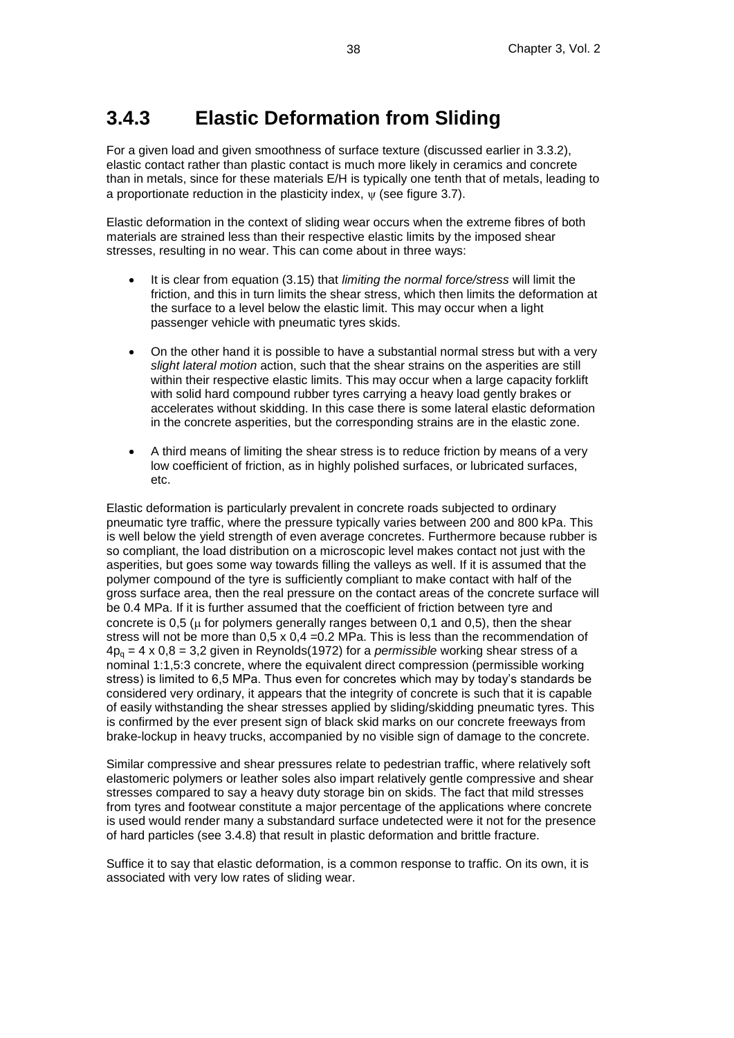## **3.4.3 Elastic Deformation from Sliding**

For a given load and given smoothness of surface texture (discussed earlier in 3.3.2), elastic contact rather than plastic contact is much more likely in ceramics and concrete than in metals, since for these materials E/H is typically one tenth that of metals, leading to a proportionate reduction in the plasticity index,  $\psi$  (see figure 3.7).

Elastic deformation in the context of sliding wear occurs when the extreme fibres of both materials are strained less than their respective elastic limits by the imposed shear stresses, resulting in no wear. This can come about in three ways:

- It is clear from equation (3.15) that *limiting the normal force/stress* will limit the friction, and this in turn limits the shear stress, which then limits the deformation at the surface to a level below the elastic limit. This may occur when a light passenger vehicle with pneumatic tyres skids.
- On the other hand it is possible to have a substantial normal stress but with a very *slight lateral motion* action, such that the shear strains on the asperities are still within their respective elastic limits. This may occur when a large capacity forklift with solid hard compound rubber tyres carrying a heavy load gently brakes or accelerates without skidding. In this case there is some lateral elastic deformation in the concrete asperities, but the corresponding strains are in the elastic zone.
- A third means of limiting the shear stress is to reduce friction by means of a very low coefficient of friction, as in highly polished surfaces, or lubricated surfaces, etc.

Elastic deformation is particularly prevalent in concrete roads subjected to ordinary pneumatic tyre traffic, where the pressure typically varies between 200 and 800 kPa. This is well below the yield strength of even average concretes. Furthermore because rubber is so compliant, the load distribution on a microscopic level makes contact not just with the asperities, but goes some way towards filling the valleys as well. If it is assumed that the polymer compound of the tyre is sufficiently compliant to make contact with half of the gross surface area, then the real pressure on the contact areas of the concrete surface will be 0.4 MPa. If it is further assumed that the coefficient of friction between tyre and concrete is 0.5 ( $\mu$  for polymers generally ranges between 0.1 and 0.5), then the shear stress will not be more than  $0.5 \times 0.4 = 0.2$  MPa. This is less than the recommendation of 4p<sup>q</sup> = 4 x 0,8 = 3,2 given in Reynolds(1972) for a *permissible* working shear stress of a nominal 1:1,5:3 concrete, where the equivalent direct compression (permissible working stress) is limited to 6,5 MPa. Thus even for concretes which may by today's standards be considered very ordinary, it appears that the integrity of concrete is such that it is capable of easily withstanding the shear stresses applied by sliding/skidding pneumatic tyres. This is confirmed by the ever present sign of black skid marks on our concrete freeways from brake-lockup in heavy trucks, accompanied by no visible sign of damage to the concrete.

Similar compressive and shear pressures relate to pedestrian traffic, where relatively soft elastomeric polymers or leather soles also impart relatively gentle compressive and shear stresses compared to say a heavy duty storage bin on skids. The fact that mild stresses from tyres and footwear constitute a major percentage of the applications where concrete is used would render many a substandard surface undetected were it not for the presence of hard particles (see 3.4.8) that result in plastic deformation and brittle fracture.

Suffice it to say that elastic deformation, is a common response to traffic. On its own, it is associated with very low rates of sliding wear.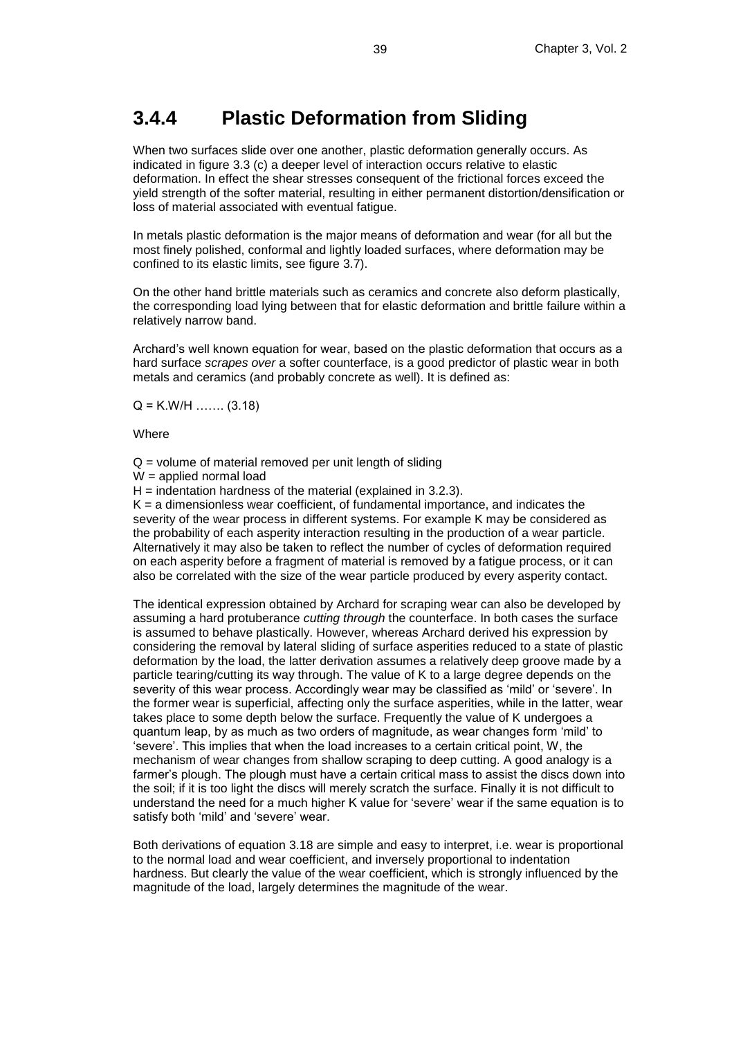## **3.4.4 Plastic Deformation from Sliding**

When two surfaces slide over one another, plastic deformation generally occurs. As indicated in figure 3.3 (c) a deeper level of interaction occurs relative to elastic deformation. In effect the shear stresses consequent of the frictional forces exceed the yield strength of the softer material, resulting in either permanent distortion/densification or loss of material associated with eventual fatigue.

In metals plastic deformation is the major means of deformation and wear (for all but the most finely polished, conformal and lightly loaded surfaces, where deformation may be confined to its elastic limits, see figure 3.7).

On the other hand brittle materials such as ceramics and concrete also deform plastically, the corresponding load lying between that for elastic deformation and brittle failure within a relatively narrow band.

Archard's well known equation for wear, based on the plastic deformation that occurs as a hard surface *scrapes over* a softer counterface, is a good predictor of plastic wear in both metals and ceramics (and probably concrete as well). It is defined as:

 $Q = K.W/H$  ……. (3.18)

**Where** 

 $Q =$  volume of material removed per unit length of sliding

 $W =$ applied normal load

 $H =$  indentation hardness of the material (explained in 3.2.3).

 $K = a$  dimensionless wear coefficient, of fundamental importance, and indicates the severity of the wear process in different systems. For example K may be considered as the probability of each asperity interaction resulting in the production of a wear particle. Alternatively it may also be taken to reflect the number of cycles of deformation required on each asperity before a fragment of material is removed by a fatigue process, or it can also be correlated with the size of the wear particle produced by every asperity contact.

The identical expression obtained by Archard for scraping wear can also be developed by assuming a hard protuberance *cutting through* the counterface. In both cases the surface is assumed to behave plastically. However, whereas Archard derived his expression by considering the removal by lateral sliding of surface asperities reduced to a state of plastic deformation by the load, the latter derivation assumes a relatively deep groove made by a particle tearing/cutting its way through. The value of K to a large degree depends on the severity of this wear process. Accordingly wear may be classified as 'mild' or 'severe'. In the former wear is superficial, affecting only the surface asperities, while in the latter, wear takes place to some depth below the surface. Frequently the value of K undergoes a quantum leap, by as much as two orders of magnitude, as wear changes form 'mild' to 'severe'. This implies that when the load increases to a certain critical point, W, the mechanism of wear changes from shallow scraping to deep cutting. A good analogy is a farmer's plough. The plough must have a certain critical mass to assist the discs down into the soil; if it is too light the discs will merely scratch the surface. Finally it is not difficult to understand the need for a much higher K value for 'severe' wear if the same equation is to satisfy both 'mild' and 'severe' wear.

Both derivations of equation 3.18 are simple and easy to interpret, i.e. wear is proportional to the normal load and wear coefficient, and inversely proportional to indentation hardness. But clearly the value of the wear coefficient, which is strongly influenced by the magnitude of the load, largely determines the magnitude of the wear.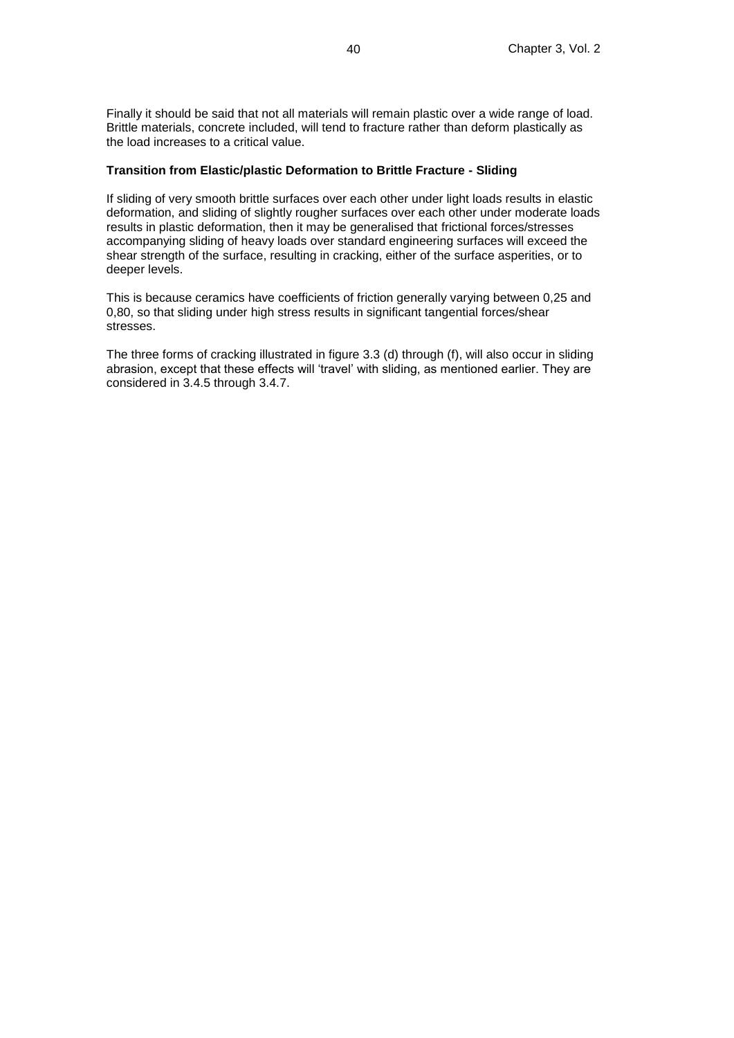Finally it should be said that not all materials will remain plastic over a wide range of load. Brittle materials, concrete included, will tend to fracture rather than deform plastically as the load increases to a critical value.

#### **Transition from Elastic/plastic Deformation to Brittle Fracture - Sliding**

If sliding of very smooth brittle surfaces over each other under light loads results in elastic deformation, and sliding of slightly rougher surfaces over each other under moderate loads results in plastic deformation, then it may be generalised that frictional forces/stresses accompanying sliding of heavy loads over standard engineering surfaces will exceed the shear strength of the surface, resulting in cracking, either of the surface asperities, or to deeper levels.

This is because ceramics have coefficients of friction generally varying between 0,25 and 0,80, so that sliding under high stress results in significant tangential forces/shear stresses.

The three forms of cracking illustrated in figure 3.3 (d) through (f), will also occur in sliding abrasion, except that these effects will 'travel' with sliding, as mentioned earlier. They are considered in 3.4.5 through 3.4.7.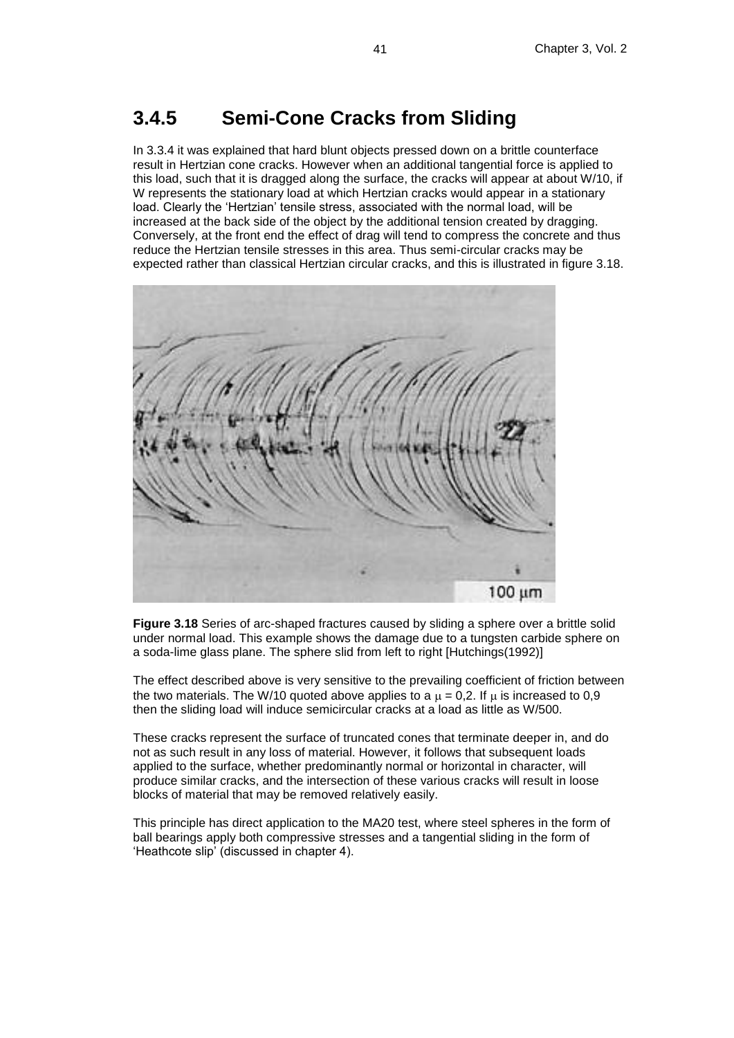### **3.4.5 Semi-Cone Cracks from Sliding**

In 3.3.4 it was explained that hard blunt objects pressed down on a brittle counterface result in Hertzian cone cracks. However when an additional tangential force is applied to this load, such that it is dragged along the surface, the cracks will appear at about W/10, if W represents the stationary load at which Hertzian cracks would appear in a stationary load. Clearly the 'Hertzian' tensile stress, associated with the normal load, will be increased at the back side of the object by the additional tension created by dragging. Conversely, at the front end the effect of drag will tend to compress the concrete and thus reduce the Hertzian tensile stresses in this area. Thus semi-circular cracks may be expected rather than classical Hertzian circular cracks, and this is illustrated in figure 3.18.



**Figure 3.18** Series of arc-shaped fractures caused by sliding a sphere over a brittle solid under normal load. This example shows the damage due to a tungsten carbide sphere on a soda-lime glass plane. The sphere slid from left to right [Hutchings(1992)]

The effect described above is very sensitive to the prevailing coefficient of friction between the two materials. The W/10 quoted above applies to a  $\mu$  = 0,2. If  $\mu$  is increased to 0,9 then the sliding load will induce semicircular cracks at a load as little as W/500.

These cracks represent the surface of truncated cones that terminate deeper in, and do not as such result in any loss of material. However, it follows that subsequent loads applied to the surface, whether predominantly normal or horizontal in character, will produce similar cracks, and the intersection of these various cracks will result in loose blocks of material that may be removed relatively easily.

This principle has direct application to the MA20 test, where steel spheres in the form of ball bearings apply both compressive stresses and a tangential sliding in the form of 'Heathcote slip' (discussed in chapter 4).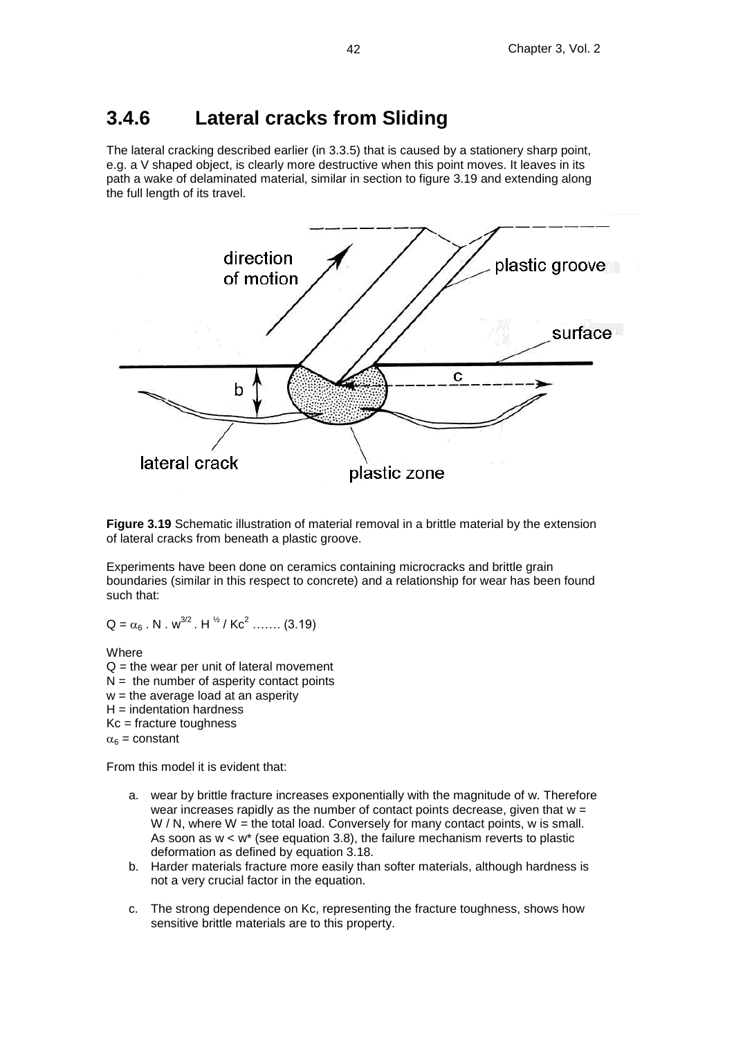### **3.4.6 Lateral cracks from Sliding**

The lateral cracking described earlier (in 3.3.5) that is caused by a stationery sharp point, e.g. a V shaped object, is clearly more destructive when this point moves. It leaves in its path a wake of delaminated material, similar in section to figure 3.19 and extending along the full length of its travel.



**Figure 3.19** Schematic illustration of material removal in a brittle material by the extension of lateral cracks from beneath a plastic groove.

Experiments have been done on ceramics containing microcracks and brittle grain boundaries (similar in this respect to concrete) and a relationship for wear has been found such that:

 $Q = \alpha_6$ . N . w<sup>3/2</sup>. H  $\frac{1}{2}$  / Kc<sup>2</sup> ....... (3.19)

**Where**  $Q =$  the wear per unit of lateral movement  $N =$  the number of asperity contact points  $w =$  the average load at an asperity  $H =$  indentation hardness Kc = fracture toughness  $\alpha_6$  = constant

From this model it is evident that:

- a. wear by brittle fracture increases exponentially with the magnitude of w. Therefore wear increases rapidly as the number of contact points decrease, given that  $w =$  $W / N$ , where  $W =$  the total load. Conversely for many contact points, w is small. As soon as  $w < w^*$  (see equation 3.8), the failure mechanism reverts to plastic deformation as defined by equation 3.18.
- b. Harder materials fracture more easily than softer materials, although hardness is not a very crucial factor in the equation.
- c. The strong dependence on Kc, representing the fracture toughness, shows how sensitive brittle materials are to this property.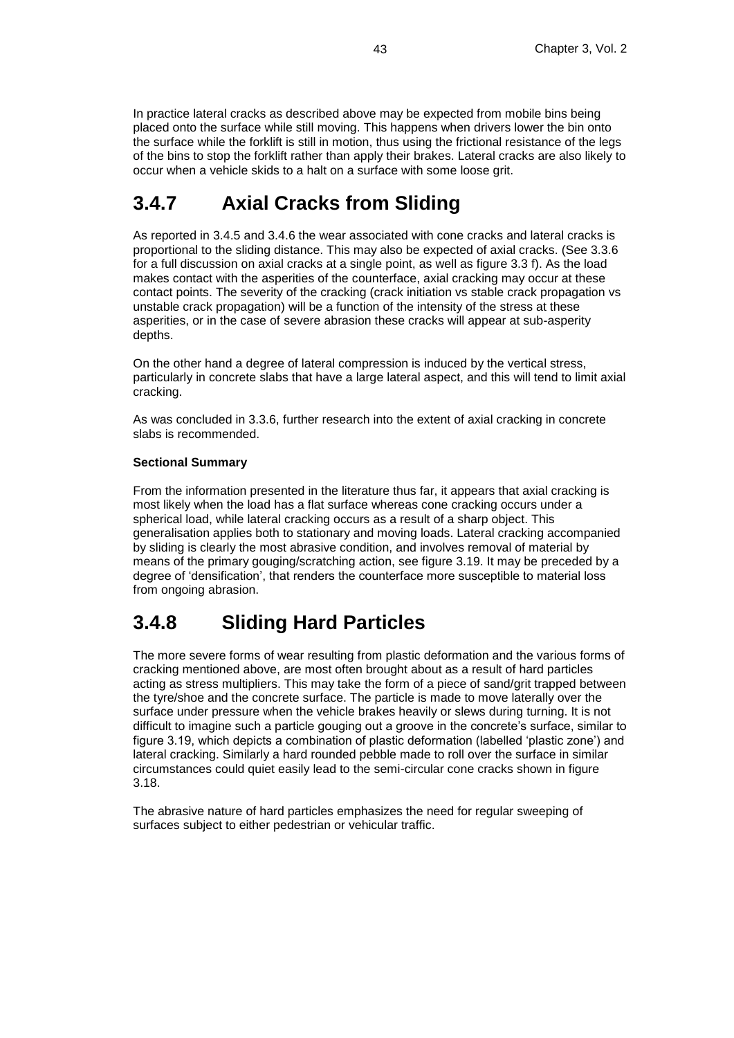In practice lateral cracks as described above may be expected from mobile bins being placed onto the surface while still moving. This happens when drivers lower the bin onto the surface while the forklift is still in motion, thus using the frictional resistance of the legs of the bins to stop the forklift rather than apply their brakes. Lateral cracks are also likely to occur when a vehicle skids to a halt on a surface with some loose grit.

# **3.4.7 Axial Cracks from Sliding**

As reported in 3.4.5 and 3.4.6 the wear associated with cone cracks and lateral cracks is proportional to the sliding distance. This may also be expected of axial cracks. (See 3.3.6 for a full discussion on axial cracks at a single point, as well as figure 3.3 f). As the load makes contact with the asperities of the counterface, axial cracking may occur at these contact points. The severity of the cracking (crack initiation vs stable crack propagation vs unstable crack propagation) will be a function of the intensity of the stress at these asperities, or in the case of severe abrasion these cracks will appear at sub-asperity depths.

On the other hand a degree of lateral compression is induced by the vertical stress, particularly in concrete slabs that have a large lateral aspect, and this will tend to limit axial cracking.

As was concluded in 3.3.6, further research into the extent of axial cracking in concrete slabs is recommended.

#### **Sectional Summary**

From the information presented in the literature thus far, it appears that axial cracking is most likely when the load has a flat surface whereas cone cracking occurs under a spherical load, while lateral cracking occurs as a result of a sharp object. This generalisation applies both to stationary and moving loads. Lateral cracking accompanied by sliding is clearly the most abrasive condition, and involves removal of material by means of the primary gouging/scratching action, see figure 3.19. It may be preceded by a degree of 'densification', that renders the counterface more susceptible to material loss from ongoing abrasion.

# **3.4.8 Sliding Hard Particles**

The more severe forms of wear resulting from plastic deformation and the various forms of cracking mentioned above, are most often brought about as a result of hard particles acting as stress multipliers. This may take the form of a piece of sand/grit trapped between the tyre/shoe and the concrete surface. The particle is made to move laterally over the surface under pressure when the vehicle brakes heavily or slews during turning. It is not difficult to imagine such a particle gouging out a groove in the concrete's surface, similar to figure 3.19, which depicts a combination of plastic deformation (labelled 'plastic zone') and lateral cracking. Similarly a hard rounded pebble made to roll over the surface in similar circumstances could quiet easily lead to the semi-circular cone cracks shown in figure 3.18.

The abrasive nature of hard particles emphasizes the need for regular sweeping of surfaces subject to either pedestrian or vehicular traffic.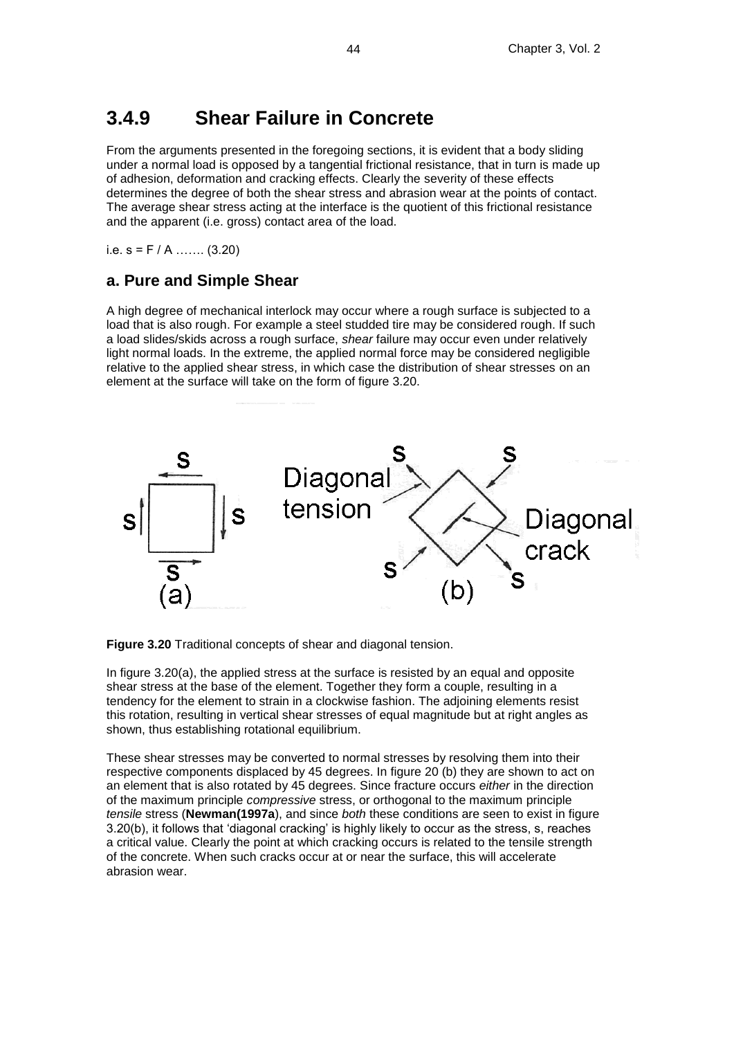## **3.4.9 Shear Failure in Concrete**

From the arguments presented in the foregoing sections, it is evident that a body sliding under a normal load is opposed by a tangential frictional resistance, that in turn is made up of adhesion, deformation and cracking effects. Clearly the severity of these effects determines the degree of both the shear stress and abrasion wear at the points of contact. The average shear stress acting at the interface is the quotient of this frictional resistance and the apparent (i.e. gross) contact area of the load.

i.e.  $s = F / A$  … (3.20)

### **a. Pure and Simple Shear**

A high degree of mechanical interlock may occur where a rough surface is subjected to a load that is also rough. For example a steel studded tire may be considered rough. If such a load slides/skids across a rough surface, *shear* failure may occur even under relatively light normal loads. In the extreme, the applied normal force may be considered negligible relative to the applied shear stress, in which case the distribution of shear stresses on an element at the surface will take on the form of figure 3.20.



**Figure 3.20** Traditional concepts of shear and diagonal tension.

In figure 3.20(a), the applied stress at the surface is resisted by an equal and opposite shear stress at the base of the element. Together they form a couple, resulting in a tendency for the element to strain in a clockwise fashion. The adjoining elements resist this rotation, resulting in vertical shear stresses of equal magnitude but at right angles as shown, thus establishing rotational equilibrium.

These shear stresses may be converted to normal stresses by resolving them into their respective components displaced by 45 degrees. In figure 20 (b) they are shown to act on an element that is also rotated by 45 degrees. Since fracture occurs *either* in the direction of the maximum principle *compressive* stress, or orthogonal to the maximum principle *tensile* stress (**Newman(1997a**), and since *both* these conditions are seen to exist in figure 3.20(b), it follows that 'diagonal cracking' is highly likely to occur as the stress, s, reaches a critical value. Clearly the point at which cracking occurs is related to the tensile strength of the concrete. When such cracks occur at or near the surface, this will accelerate abrasion wear.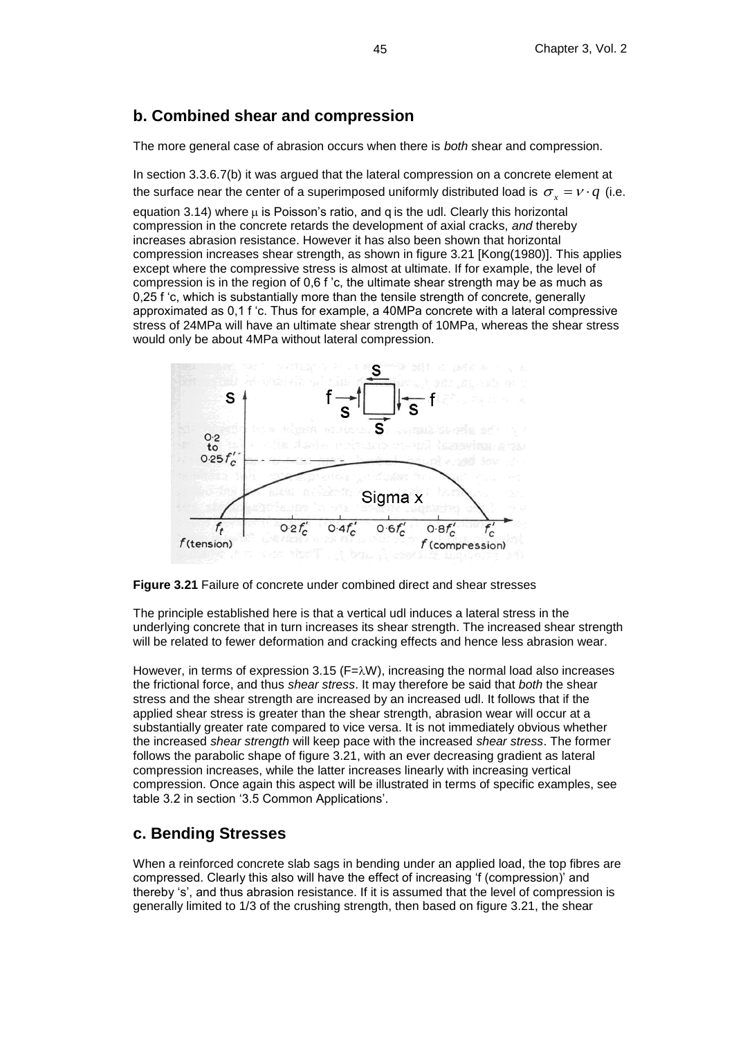#### **b. Combined shear and compression**

The more general case of abrasion occurs when there is *both* shear and compression.

In section 3.3.6.7(b) it was argued that the lateral compression on a concrete element at the surface near the center of a superimposed uniformly distributed load is  $\sigma_x = v \cdot q$  (i.e. equation 3.14) where  $\mu$  is Poisson's ratio, and q is the udl. Clearly this horizontal compression in the concrete retards the development of axial cracks, *and* thereby increases abrasion resistance. However it has also been shown that horizontal compression increases shear strength, as shown in figure 3.21 [Kong(1980)]. This applies except where the compressive stress is almost at ultimate. If for example, the level of compression is in the region of 0,6 f 'c, the ultimate shear strength may be as much as 0,25 f 'c, which is substantially more than the tensile strength of concrete, generally approximated as 0,1 f 'c. Thus for example, a 40MPa concrete with a lateral compressive stress of 24MPa will have an ultimate shear strength of 10MPa, whereas the shear stress would only be about 4MPa without lateral compression.





The principle established here is that a vertical udl induces a lateral stress in the underlying concrete that in turn increases its shear strength. The increased shear strength will be related to fewer deformation and cracking effects and hence less abrasion wear.

However, in terms of expression 3.15 ( $F=\lambda W$ ), increasing the normal load also increases the frictional force, and thus *shear stress*. It may therefore be said that *both* the shear stress and the shear strength are increased by an increased udl. It follows that if the applied shear stress is greater than the shear strength, abrasion wear will occur at a substantially greater rate compared to vice versa. It is not immediately obvious whether the increased *shear strength* will keep pace with the increased *shear stress*. The former follows the parabolic shape of figure 3.21, with an ever decreasing gradient as lateral compression increases, while the latter increases linearly with increasing vertical compression. Once again this aspect will be illustrated in terms of specific examples, see table 3.2 in section '3.5 Common Applications'.

### **c. Bending Stresses**

When a reinforced concrete slab sags in bending under an applied load, the top fibres are compressed. Clearly this also will have the effect of increasing 'f (compression)' and thereby 's', and thus abrasion resistance. If it is assumed that the level of compression is generally limited to 1/3 of the crushing strength, then based on figure 3.21, the shear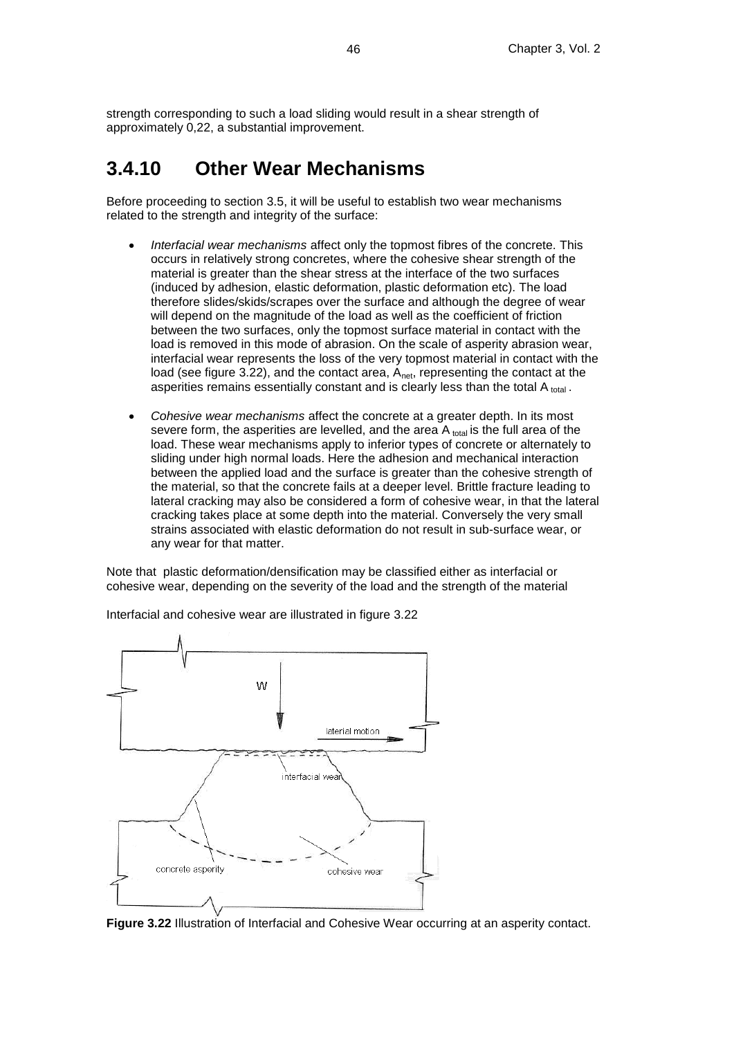strength corresponding to such a load sliding would result in a shear strength of approximately 0,22, a substantial improvement.

# **3.4.10 Other Wear Mechanisms**

Before proceeding to section 3.5, it will be useful to establish two wear mechanisms related to the strength and integrity of the surface:

- *Interfacial wear mechanisms* affect only the topmost fibres of the concrete. This occurs in relatively strong concretes, where the cohesive shear strength of the material is greater than the shear stress at the interface of the two surfaces (induced by adhesion, elastic deformation, plastic deformation etc). The load therefore slides/skids/scrapes over the surface and although the degree of wear will depend on the magnitude of the load as well as the coefficient of friction between the two surfaces, only the topmost surface material in contact with the load is removed in this mode of abrasion. On the scale of asperity abrasion wear, interfacial wear represents the loss of the very topmost material in contact with the load (see figure 3.22), and the contact area,  $A_{net}$ , representing the contact at the asperities remains essentially constant and is clearly less than the total A total.
- *Cohesive wear mechanisms* affect the concrete at a greater depth. In its most severe form, the asperities are levelled, and the area  $A_{total}$  is the full area of the load. These wear mechanisms apply to inferior types of concrete or alternately to sliding under high normal loads. Here the adhesion and mechanical interaction between the applied load and the surface is greater than the cohesive strength of the material, so that the concrete fails at a deeper level. Brittle fracture leading to lateral cracking may also be considered a form of cohesive wear, in that the lateral cracking takes place at some depth into the material. Conversely the very small strains associated with elastic deformation do not result in sub-surface wear, or any wear for that matter.

Note that plastic deformation/densification may be classified either as interfacial or cohesive wear, depending on the severity of the load and the strength of the material



Interfacial and cohesive wear are illustrated in figure 3.22

**Figure 3.22** Illustration of Interfacial and Cohesive Wear occurring at an asperity contact.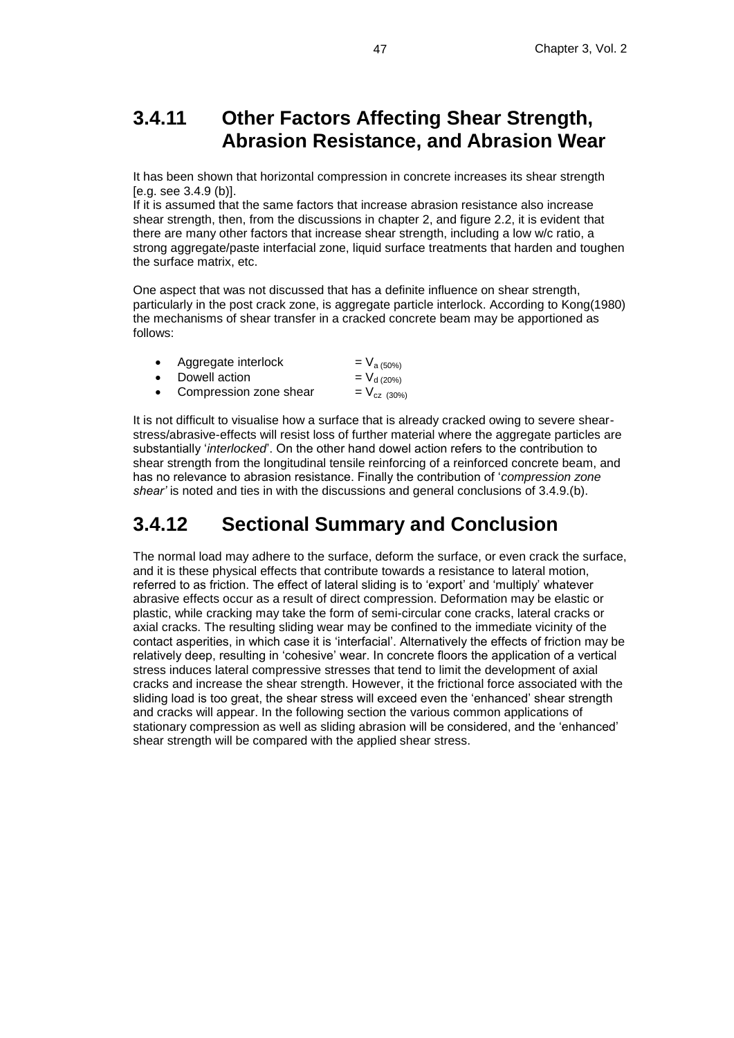# **3.4.11 Other Factors Affecting Shear Strength, Abrasion Resistance, and Abrasion Wear**

It has been shown that horizontal compression in concrete increases its shear strength [e.g. see 3.4.9 (b)].

If it is assumed that the same factors that increase abrasion resistance also increase shear strength, then, from the discussions in chapter 2, and figure 2.2, it is evident that there are many other factors that increase shear strength, including a low w/c ratio, a strong aggregate/paste interfacial zone, liquid surface treatments that harden and toughen the surface matrix, etc.

One aspect that was not discussed that has a definite influence on shear strength, particularly in the post crack zone, is aggregate particle interlock. According to Kong(1980) the mechanisms of shear transfer in a cracked concrete beam may be apportioned as follows:

| $\bullet$ | Aggregate interlock      | $= V_{a(50\%)}$   |
|-----------|--------------------------|-------------------|
|           | • Dowell action          | $= V_{d(20\%)}$   |
|           | • Compression zone shear | $= V_{cz (30\%)}$ |

It is not difficult to visualise how a surface that is already cracked owing to severe shearstress/abrasive-effects will resist loss of further material where the aggregate particles are substantially '*interlocked*'. On the other hand dowel action refers to the contribution to shear strength from the longitudinal tensile reinforcing of a reinforced concrete beam, and has no relevance to abrasion resistance. Finally the contribution of '*compression zone shear'* is noted and ties in with the discussions and general conclusions of 3.4.9.(b).

# **3.4.12 Sectional Summary and Conclusion**

The normal load may adhere to the surface, deform the surface, or even crack the surface, and it is these physical effects that contribute towards a resistance to lateral motion, referred to as friction. The effect of lateral sliding is to 'export' and 'multiply' whatever abrasive effects occur as a result of direct compression. Deformation may be elastic or plastic, while cracking may take the form of semi-circular cone cracks, lateral cracks or axial cracks. The resulting sliding wear may be confined to the immediate vicinity of the contact asperities, in which case it is 'interfacial'. Alternatively the effects of friction may be relatively deep, resulting in 'cohesive' wear. In concrete floors the application of a vertical stress induces lateral compressive stresses that tend to limit the development of axial cracks and increase the shear strength. However, it the frictional force associated with the sliding load is too great, the shear stress will exceed even the 'enhanced' shear strength and cracks will appear. In the following section the various common applications of stationary compression as well as sliding abrasion will be considered, and the 'enhanced' shear strength will be compared with the applied shear stress.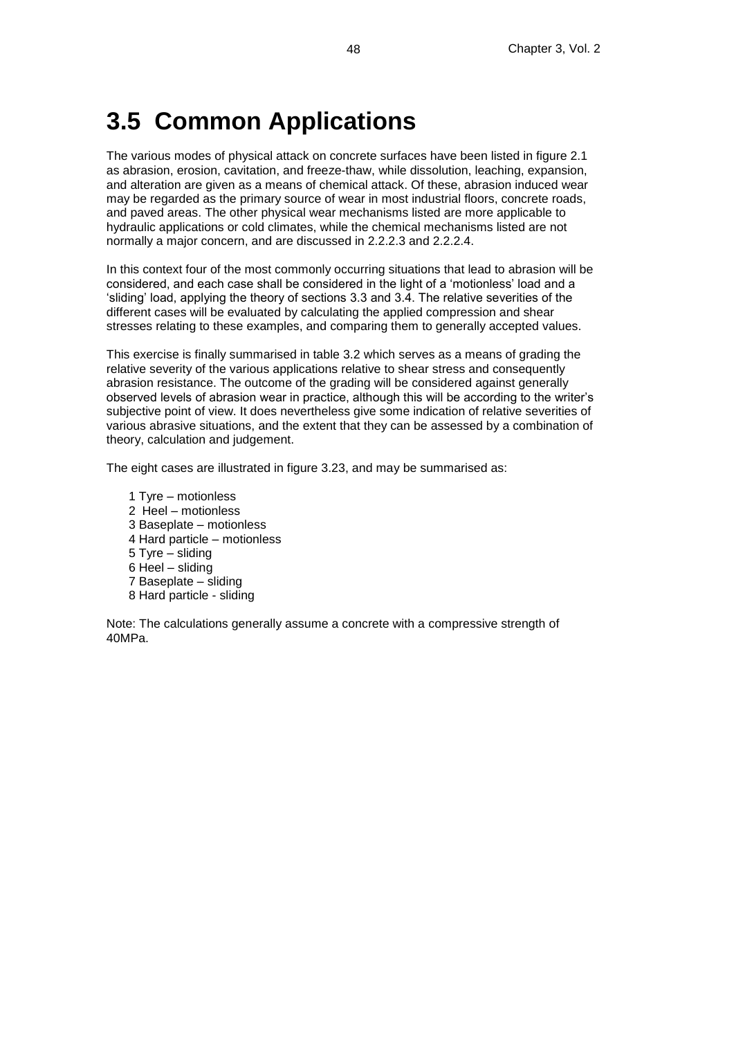# **3.5 Common Applications**

The various modes of physical attack on concrete surfaces have been listed in figure 2.1 as abrasion, erosion, cavitation, and freeze-thaw, while dissolution, leaching, expansion, and alteration are given as a means of chemical attack. Of these, abrasion induced wear may be regarded as the primary source of wear in most industrial floors, concrete roads, and paved areas. The other physical wear mechanisms listed are more applicable to hydraulic applications or cold climates, while the chemical mechanisms listed are not normally a major concern, and are discussed in 2.2.2.3 and 2.2.2.4.

In this context four of the most commonly occurring situations that lead to abrasion will be considered, and each case shall be considered in the light of a 'motionless' load and a 'sliding' load, applying the theory of sections 3.3 and 3.4. The relative severities of the different cases will be evaluated by calculating the applied compression and shear stresses relating to these examples, and comparing them to generally accepted values.

This exercise is finally summarised in table 3.2 which serves as a means of grading the relative severity of the various applications relative to shear stress and consequently abrasion resistance. The outcome of the grading will be considered against generally observed levels of abrasion wear in practice, although this will be according to the writer's subjective point of view. It does nevertheless give some indication of relative severities of various abrasive situations, and the extent that they can be assessed by a combination of theory, calculation and judgement.

The eight cases are illustrated in figure 3.23, and may be summarised as:

- 1 Tyre motionless 2 Heel – motionless 3 Baseplate – motionless 4 Hard particle – motionless 5 Tyre – sliding 6 Heel – sliding
- 7 Baseplate sliding
- 8 Hard particle sliding

Note: The calculations generally assume a concrete with a compressive strength of 40MPa.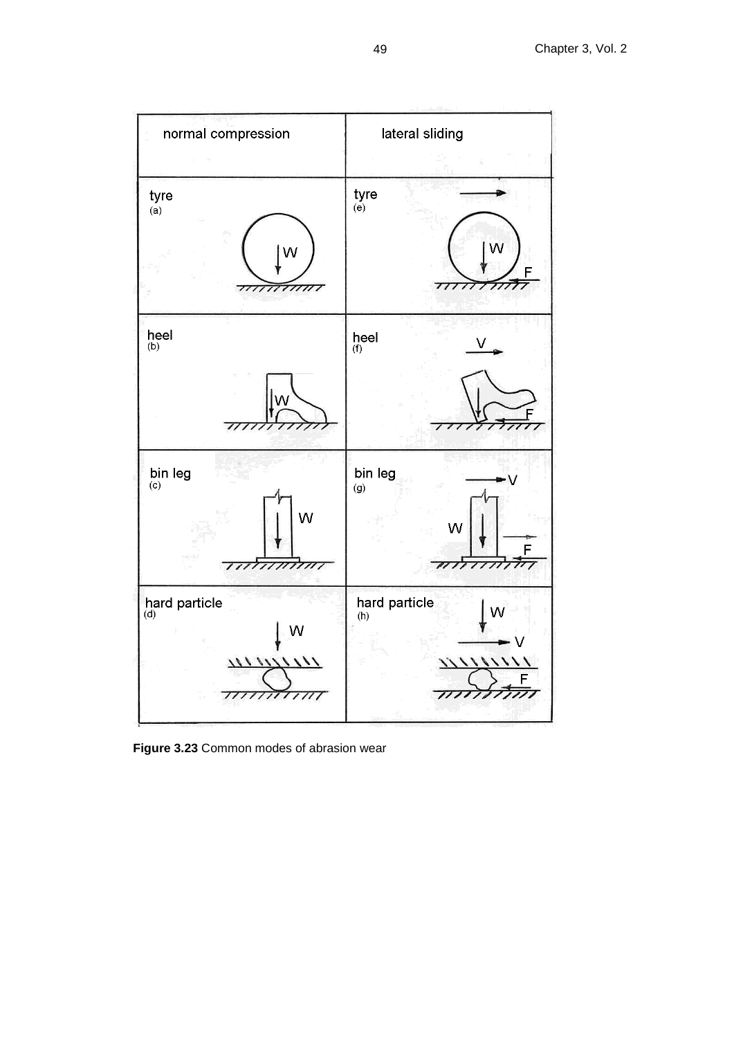

**Figure 3.23** Common modes of abrasion wear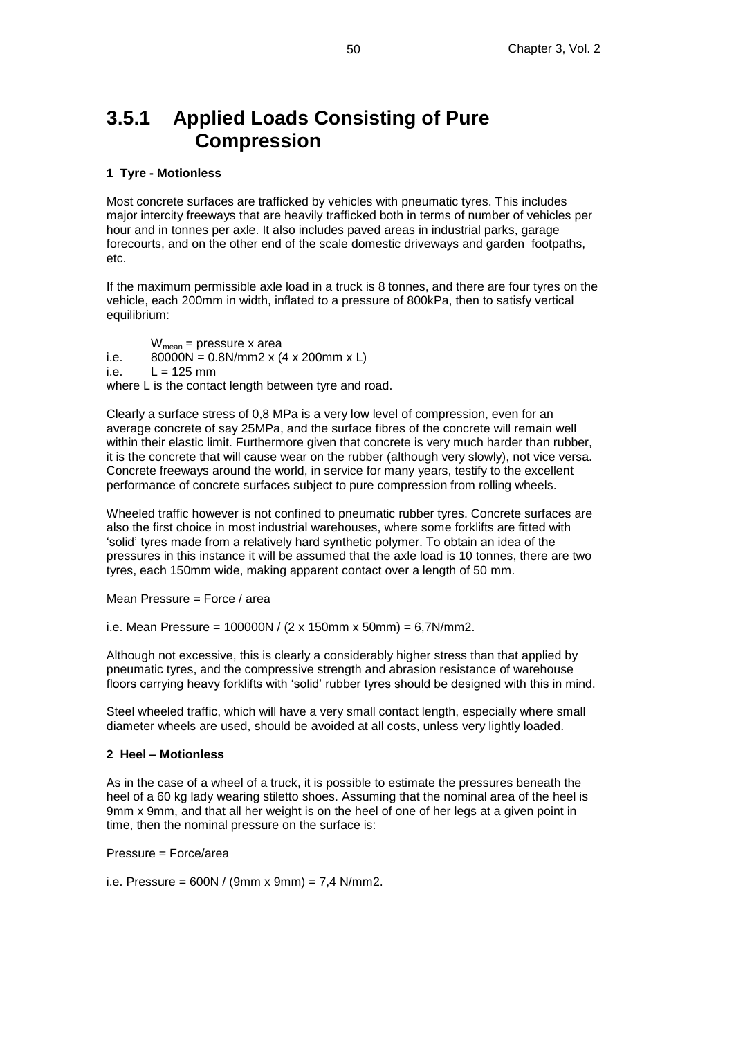## **3.5.1 Applied Loads Consisting of Pure Compression**

#### **1 Tyre - Motionless**

Most concrete surfaces are trafficked by vehicles with pneumatic tyres. This includes major intercity freeways that are heavily trafficked both in terms of number of vehicles per hour and in tonnes per axle. It also includes paved areas in industrial parks, garage forecourts, and on the other end of the scale domestic driveways and garden footpaths, etc.

If the maximum permissible axle load in a truck is 8 tonnes, and there are four tyres on the vehicle, each 200mm in width, inflated to a pressure of 800kPa, then to satisfy vertical equilibrium:

 $W_{mean}$  = pressure x area i.e.  $80000N = 0.8N/mm2 x (4 x 200 mm x L)$ i.e.  $L = 125$  mm where L is the contact length between tyre and road.

Clearly a surface stress of 0,8 MPa is a very low level of compression, even for an average concrete of say 25MPa, and the surface fibres of the concrete will remain well within their elastic limit. Furthermore given that concrete is very much harder than rubber, it is the concrete that will cause wear on the rubber (although very slowly), not vice versa. Concrete freeways around the world, in service for many years, testify to the excellent performance of concrete surfaces subject to pure compression from rolling wheels.

Wheeled traffic however is not confined to pneumatic rubber tyres. Concrete surfaces are also the first choice in most industrial warehouses, where some forklifts are fitted with 'solid' tyres made from a relatively hard synthetic polymer. To obtain an idea of the pressures in this instance it will be assumed that the axle load is 10 tonnes, there are two tyres, each 150mm wide, making apparent contact over a length of 50 mm.

Mean Pressure = Force / area

i.e. Mean Pressure =  $100000N / (2 \times 150mm \times 50mm) = 6,7N/mm2$ .

Although not excessive, this is clearly a considerably higher stress than that applied by pneumatic tyres, and the compressive strength and abrasion resistance of warehouse floors carrying heavy forklifts with 'solid' rubber tyres should be designed with this in mind.

Steel wheeled traffic, which will have a very small contact length, especially where small diameter wheels are used, should be avoided at all costs, unless very lightly loaded.

#### **2 Heel – Motionless**

As in the case of a wheel of a truck, it is possible to estimate the pressures beneath the heel of a 60 kg lady wearing stiletto shoes. Assuming that the nominal area of the heel is 9mm x 9mm, and that all her weight is on the heel of one of her legs at a given point in time, then the nominal pressure on the surface is:

Pressure = Force/area

i.e. Pressure =  $600N / (9mm \times 9mm) = 7,4 N/mm2$ .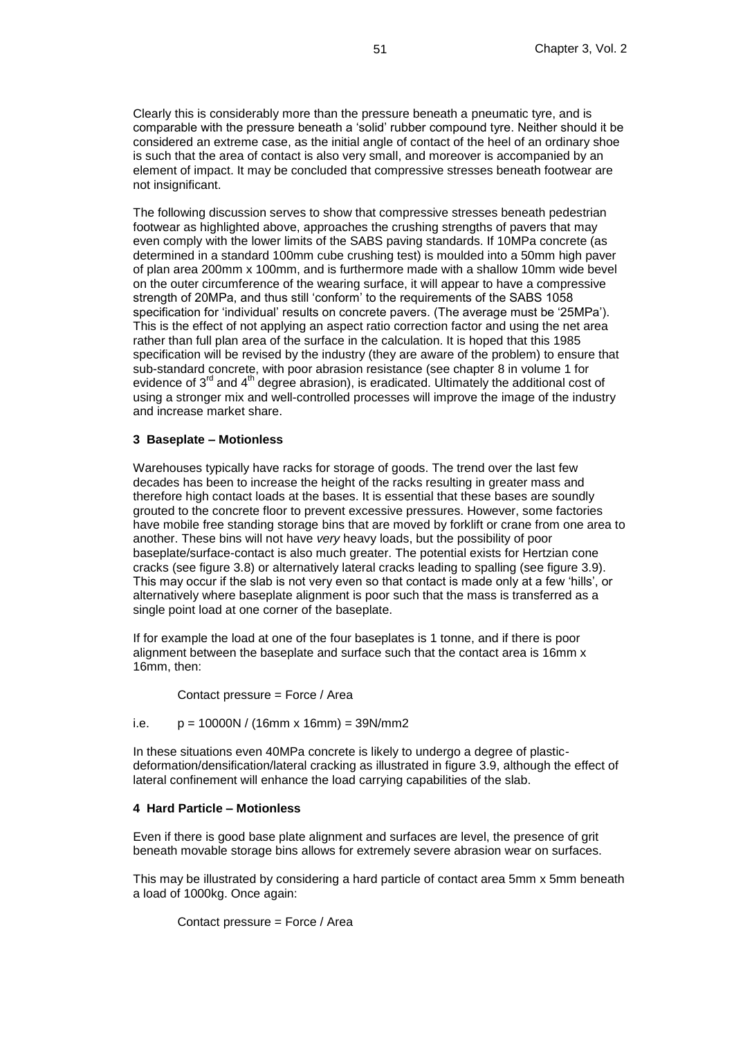Clearly this is considerably more than the pressure beneath a pneumatic tyre, and is comparable with the pressure beneath a 'solid' rubber compound tyre. Neither should it be considered an extreme case, as the initial angle of contact of the heel of an ordinary shoe is such that the area of contact is also very small, and moreover is accompanied by an element of impact. It may be concluded that compressive stresses beneath footwear are not insignificant.

The following discussion serves to show that compressive stresses beneath pedestrian footwear as highlighted above, approaches the crushing strengths of pavers that may even comply with the lower limits of the SABS paving standards. If 10MPa concrete (as determined in a standard 100mm cube crushing test) is moulded into a 50mm high paver of plan area 200mm x 100mm, and is furthermore made with a shallow 10mm wide bevel on the outer circumference of the wearing surface, it will appear to have a compressive strength of 20MPa, and thus still 'conform' to the requirements of the SABS 1058 specification for 'individual' results on concrete pavers. (The average must be '25MPa'). This is the effect of not applying an aspect ratio correction factor and using the net area rather than full plan area of the surface in the calculation. It is hoped that this 1985 specification will be revised by the industry (they are aware of the problem) to ensure that sub-standard concrete, with poor abrasion resistance (see chapter 8 in volume 1 for evidence of  $3^{rd}$  and  $4^{th}$  degree abrasion), is eradicated. Ultimately the additional cost of using a stronger mix and well-controlled processes will improve the image of the industry and increase market share.

#### **3 Baseplate – Motionless**

Warehouses typically have racks for storage of goods. The trend over the last few decades has been to increase the height of the racks resulting in greater mass and therefore high contact loads at the bases. It is essential that these bases are soundly grouted to the concrete floor to prevent excessive pressures. However, some factories have mobile free standing storage bins that are moved by forklift or crane from one area to another. These bins will not have *very* heavy loads, but the possibility of poor baseplate/surface-contact is also much greater. The potential exists for Hertzian cone cracks (see figure 3.8) or alternatively lateral cracks leading to spalling (see figure 3.9). This may occur if the slab is not very even so that contact is made only at a few 'hills', or alternatively where baseplate alignment is poor such that the mass is transferred as a single point load at one corner of the baseplate.

If for example the load at one of the four baseplates is 1 tonne, and if there is poor alignment between the baseplate and surface such that the contact area is 16mm x 16mm, then:

Contact pressure = Force / Area

i.e.  $p = 10000N / (16mm \times 16mm) = 39N/mm2$ 

In these situations even 40MPa concrete is likely to undergo a degree of plasticdeformation/densification/lateral cracking as illustrated in figure 3.9, although the effect of lateral confinement will enhance the load carrying capabilities of the slab.

#### **4 Hard Particle – Motionless**

Even if there is good base plate alignment and surfaces are level, the presence of grit beneath movable storage bins allows for extremely severe abrasion wear on surfaces.

This may be illustrated by considering a hard particle of contact area 5mm x 5mm beneath a load of 1000kg. Once again:

Contact pressure = Force / Area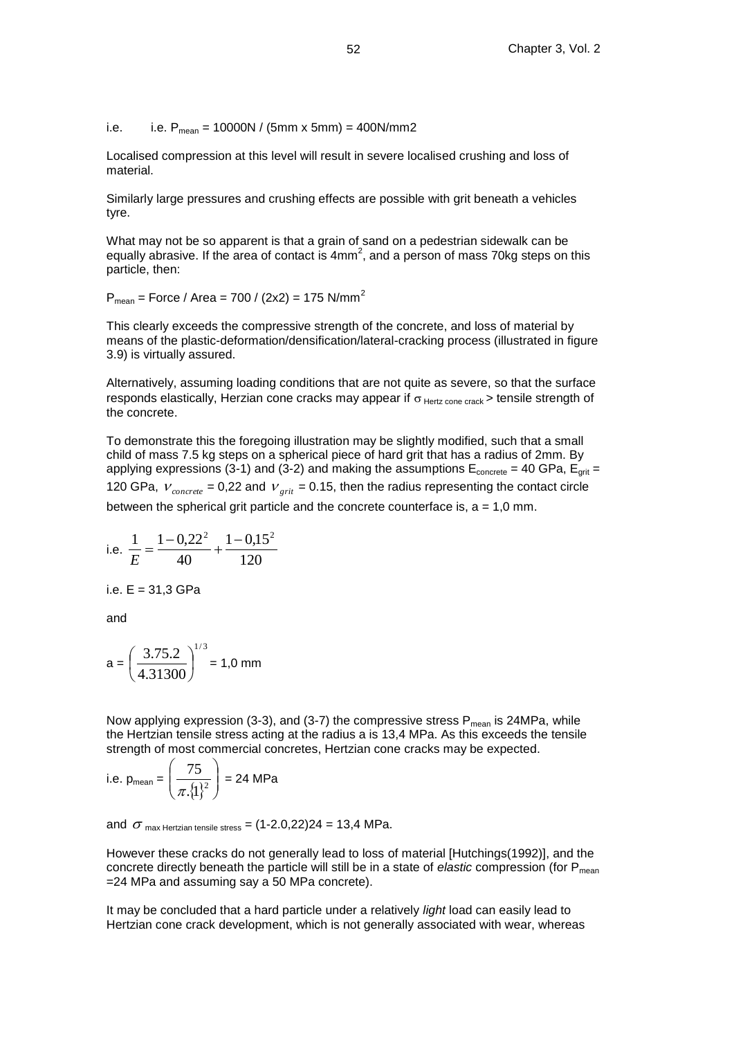i.e. i.e.  $P_{mean} = 10000N / (5mm \times 5mm) = 400N/mm2$ 

Localised compression at this level will result in severe localised crushing and loss of material.

Similarly large pressures and crushing effects are possible with grit beneath a vehicles tyre.

What may not be so apparent is that a grain of sand on a pedestrian sidewalk can be equally abrasive. If the area of contact is  $4mm^2$ , and a person of mass 70kg steps on this particle, then:

 $P_{mean}$  = Force / Area = 700 / (2x2) = 175 N/mm<sup>2</sup>

This clearly exceeds the compressive strength of the concrete, and loss of material by means of the plastic-deformation/densification/lateral-cracking process (illustrated in figure 3.9) is virtually assured.

Alternatively, assuming loading conditions that are not quite as severe, so that the surface responds elastically, Herzian cone cracks may appear if  $\sigma$  Hertz cone crack > tensile strength of the concrete.

To demonstrate this the foregoing illustration may be slightly modified, such that a small child of mass 7.5 kg steps on a spherical piece of hard grit that has a radius of 2mm. By applying expressions (3-1) and (3-2) and making the assumptions  $E_{\text{concrete}} = 40 \text{ GPa}$ ,  $E_{\text{crit}} =$ 120 GPa,  $V_{concrete}$  = 0,22 and  $V_{grit}$  = 0.15, then the radius representing the contact circle between the spherical grit particle and the concrete counterface is,  $a = 1,0$  mm.

i.e. 
$$
\frac{1}{E} = \frac{1 - 0.22^2}{40} + \frac{1 - 0.15^2}{120}
$$

i.e. E = 31,3 GPa

and

$$
a = \left(\frac{3.75.2}{4.31300}\right)^{1/3} = 1.0 \text{ mm}
$$

Now applying expression (3-3), and (3-7) the compressive stress  $P_{mean}$  is 24MPa, while the Hertzian tensile stress acting at the radius a is 13,4 MPa. As this exceeds the tensile strength of most commercial concretes, Hertzian cone cracks may be expected.

i.e. 
$$
p_{\text{mean}} = \left(\frac{75}{\pi \cdot \{1\}^2}\right) = 24 \text{ MPa}
$$

and  $\,\sigma$  <sub>max Hertzian tensile stress</sub> = (1-2.0,22)24 = 13,4 MPa.

However these cracks do not generally lead to loss of material [Hutchings(1992)], and the concrete directly beneath the particle will still be in a state of *elastic* compression (for P<sub>mean</sub>) =24 MPa and assuming say a 50 MPa concrete).

It may be concluded that a hard particle under a relatively *light* load can easily lead to Hertzian cone crack development, which is not generally associated with wear, whereas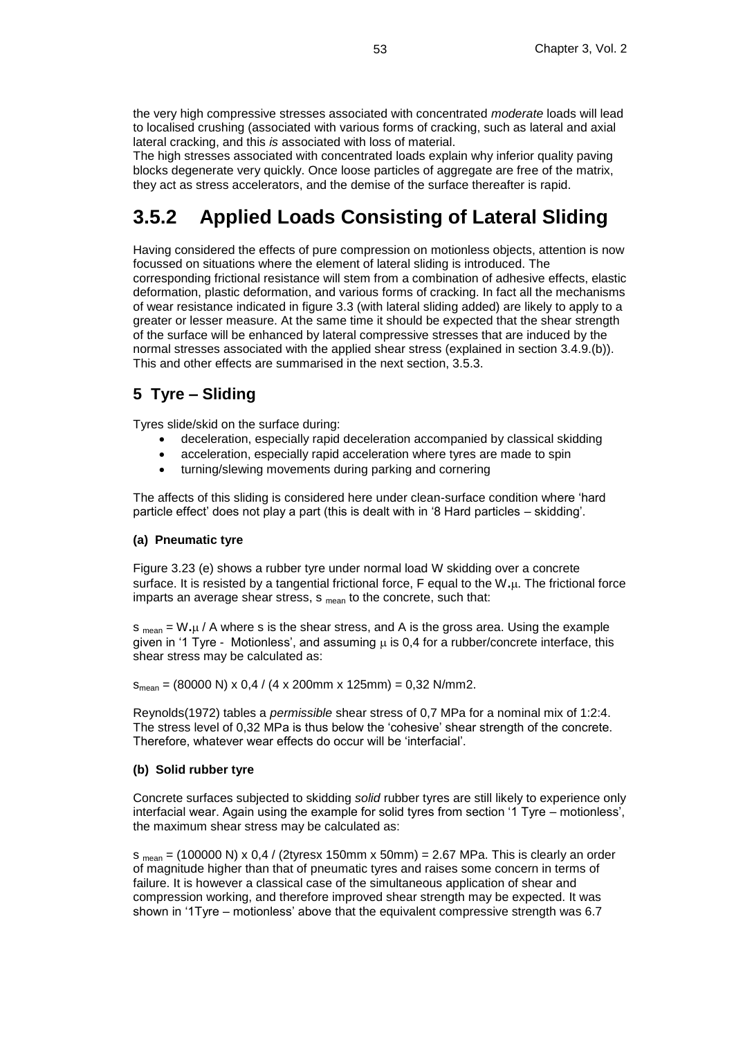the very high compressive stresses associated with concentrated *moderate* loads will lead to localised crushing (associated with various forms of cracking, such as lateral and axial lateral cracking, and this *is* associated with loss of material.

The high stresses associated with concentrated loads explain why inferior quality paving blocks degenerate very quickly. Once loose particles of aggregate are free of the matrix, they act as stress accelerators, and the demise of the surface thereafter is rapid.

# **3.5.2 Applied Loads Consisting of Lateral Sliding**

Having considered the effects of pure compression on motionless objects, attention is now focussed on situations where the element of lateral sliding is introduced. The corresponding frictional resistance will stem from a combination of adhesive effects, elastic deformation, plastic deformation, and various forms of cracking. In fact all the mechanisms of wear resistance indicated in figure 3.3 (with lateral sliding added) are likely to apply to a greater or lesser measure. At the same time it should be expected that the shear strength of the surface will be enhanced by lateral compressive stresses that are induced by the normal stresses associated with the applied shear stress (explained in section 3.4.9.(b)). This and other effects are summarised in the next section, 3.5.3.

### **5 Tyre – Sliding**

Tyres slide/skid on the surface during:

- deceleration, especially rapid deceleration accompanied by classical skidding
- acceleration, especially rapid acceleration where tyres are made to spin
- turning/slewing movements during parking and cornering

The affects of this sliding is considered here under clean-surface condition where 'hard particle effect' does not play a part (this is dealt with in '8 Hard particles – skidding'.

#### **(a) Pneumatic tyre**

Figure 3.23 (e) shows a rubber tyre under normal load W skidding over a concrete surface. It is resisted by a tangential frictional force, F equal to the W**.**. The frictional force imparts an average shear stress,  $s_{mean}$  to the concrete, such that:

 $s_{\text{mean}} = W \mu / A$  where s is the shear stress, and A is the gross area. Using the example given in '1 Tyre - Motionless', and assuming  $\mu$  is 0,4 for a rubber/concrete interface, this shear stress may be calculated as:

 $S_{mean} = (80000 \text{ N}) \times 0.4 / (4 \times 200 \text{ mm} \times 125 \text{ mm}) = 0.32 \text{ N/mm}.$ 

Reynolds(1972) tables a *permissible* shear stress of 0,7 MPa for a nominal mix of 1:2:4. The stress level of 0,32 MPa is thus below the 'cohesive' shear strength of the concrete. Therefore, whatever wear effects do occur will be 'interfacial'.

#### **(b) Solid rubber tyre**

Concrete surfaces subjected to skidding *solid* rubber tyres are still likely to experience only interfacial wear. Again using the example for solid tyres from section '1 Tyre – motionless', the maximum shear stress may be calculated as:

 $s_{mean} = (100000 \text{ N}) \times 0.4 / (2 \text{tyres} \times 150 \text{mm} \times 50 \text{mm}) = 2.67 \text{ MPa}$ . This is clearly an order of magnitude higher than that of pneumatic tyres and raises some concern in terms of failure. It is however a classical case of the simultaneous application of shear and compression working, and therefore improved shear strength may be expected. It was shown in '1Tyre – motionless' above that the equivalent compressive strength was 6.7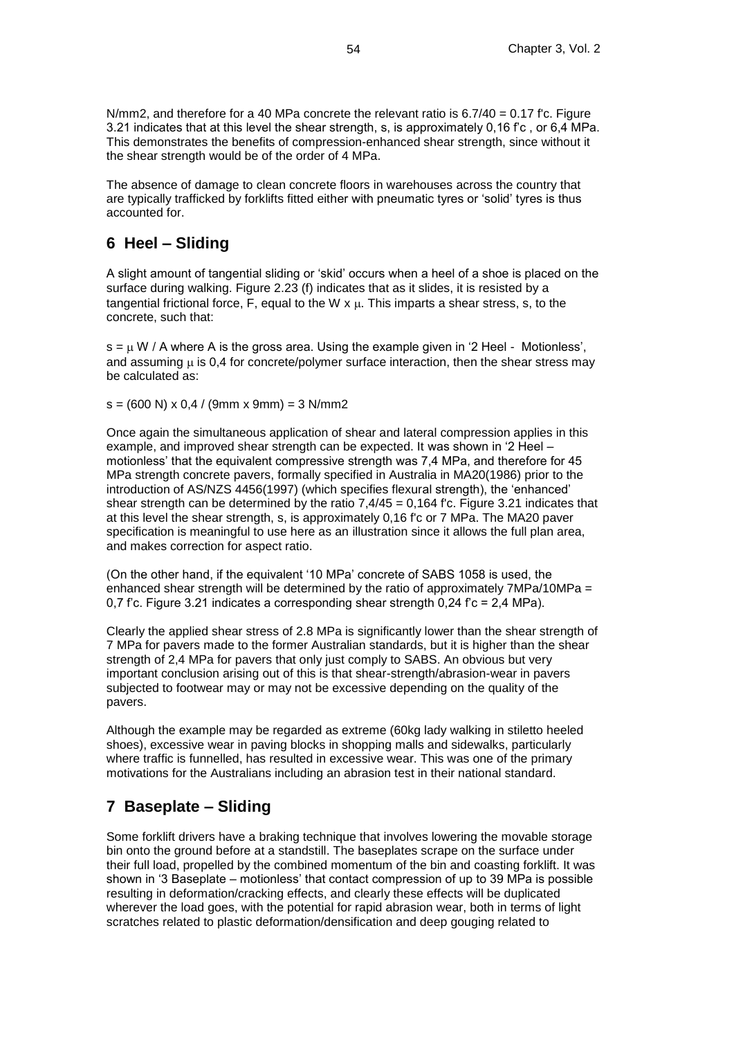N/mm2, and therefore for a 40 MPa concrete the relevant ratio is  $6.7/40 = 0.17$  f'c. Figure 3.21 indicates that at this level the shear strength, s, is approximately 0,16 f'c , or 6,4 MPa. This demonstrates the benefits of compression-enhanced shear strength, since without it the shear strength would be of the order of 4 MPa.

The absence of damage to clean concrete floors in warehouses across the country that are typically trafficked by forklifts fitted either with pneumatic tyres or 'solid' tyres is thus accounted for.

### **6 Heel – Sliding**

A slight amount of tangential sliding or 'skid' occurs when a heel of a shoe is placed on the surface during walking. Figure 2.23 (f) indicates that as it slides, it is resisted by a tangential frictional force, F, equal to the W  $x \mu$ . This imparts a shear stress, s, to the concrete, such that:

 $s = \mu W / A$  where A is the gross area. Using the example given in '2 Heel - Motionless', and assuming  $\mu$  is 0,4 for concrete/polymer surface interaction, then the shear stress may be calculated as:

 $s = (600 \text{ N}) \times 0.4 / (9 \text{mm} \times 9 \text{mm}) = 3 \text{ N/mm}$ 

Once again the simultaneous application of shear and lateral compression applies in this example, and improved shear strength can be expected. It was shown in '2 Heel – motionless' that the equivalent compressive strength was 7,4 MPa, and therefore for 45 MPa strength concrete pavers, formally specified in Australia in MA20(1986) prior to the introduction of AS/NZS 4456(1997) (which specifies flexural strength), the 'enhanced' shear strength can be determined by the ratio  $7,4/45 = 0,164$  f'c. Figure 3.21 indicates that at this level the shear strength, s, is approximately 0,16 f'c or 7 MPa. The MA20 paver specification is meaningful to use here as an illustration since it allows the full plan area, and makes correction for aspect ratio.

(On the other hand, if the equivalent '10 MPa' concrete of SABS 1058 is used, the enhanced shear strength will be determined by the ratio of approximately  $7MPa/10MPa =$ 0,7 f'c. Figure 3.21 indicates a corresponding shear strength 0,24 f'c = 2,4 MPa).

Clearly the applied shear stress of 2.8 MPa is significantly lower than the shear strength of 7 MPa for pavers made to the former Australian standards, but it is higher than the shear strength of 2,4 MPa for pavers that only just comply to SABS. An obvious but very important conclusion arising out of this is that shear-strength/abrasion-wear in pavers subjected to footwear may or may not be excessive depending on the quality of the pavers.

Although the example may be regarded as extreme (60kg lady walking in stiletto heeled shoes), excessive wear in paving blocks in shopping malls and sidewalks, particularly where traffic is funnelled, has resulted in excessive wear. This was one of the primary motivations for the Australians including an abrasion test in their national standard.

### **7 Baseplate – Sliding**

Some forklift drivers have a braking technique that involves lowering the movable storage bin onto the ground before at a standstill. The baseplates scrape on the surface under their full load, propelled by the combined momentum of the bin and coasting forklift. It was shown in '3 Baseplate – motionless' that contact compression of up to 39 MPa is possible resulting in deformation/cracking effects, and clearly these effects will be duplicated wherever the load goes, with the potential for rapid abrasion wear, both in terms of light scratches related to plastic deformation/densification and deep gouging related to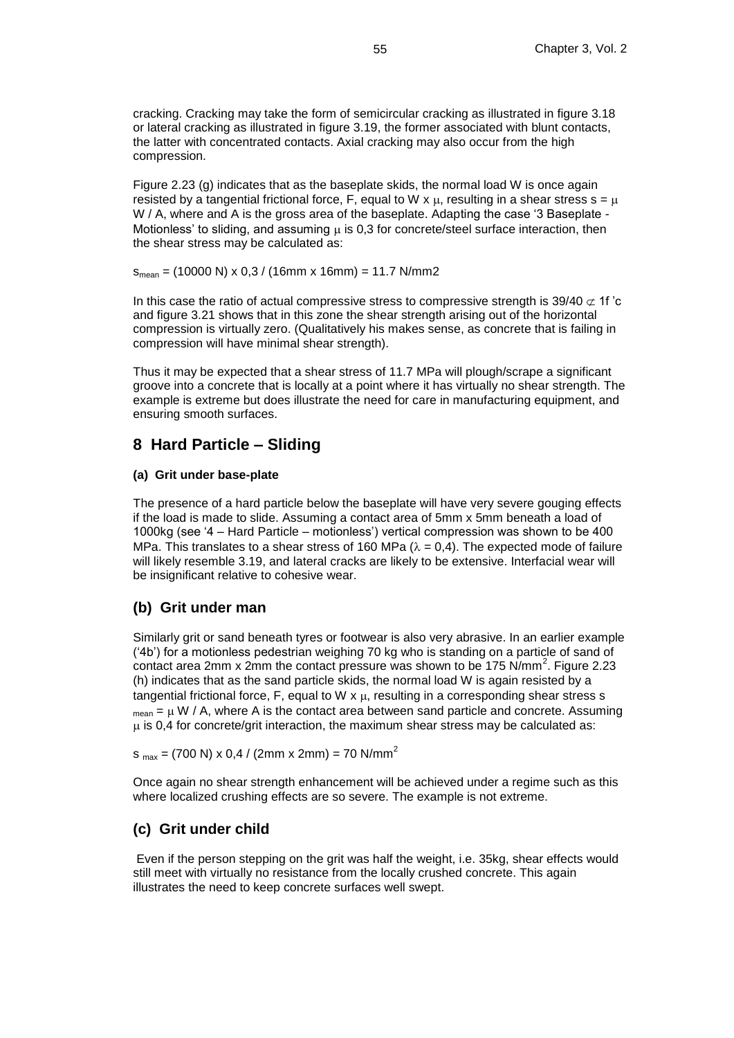cracking. Cracking may take the form of semicircular cracking as illustrated in figure 3.18 or lateral cracking as illustrated in figure 3.19, the former associated with blunt contacts, the latter with concentrated contacts. Axial cracking may also occur from the high compression.

Figure 2.23 (g) indicates that as the baseplate skids, the normal load W is once again resisted by a tangential frictional force, F, equal to W x  $\mu$ , resulting in a shear stress s =  $\mu$ W / A, where and A is the gross area of the baseplate. Adapting the case '3 Baseplate -Motionless' to sliding, and assuming  $\mu$  is 0,3 for concrete/steel surface interaction, then the shear stress may be calculated as:

 $S_{mean} = (10000 \text{ N}) \times 0.3 / (16 \text{mm} \times 16 \text{mm}) = 11.7 \text{ N/mm}$ 

In this case the ratio of actual compressive stress to compressive strength is  $39/40 \not\subset 1f$  'c and figure 3.21 shows that in this zone the shear strength arising out of the horizontal compression is virtually zero. (Qualitatively his makes sense, as concrete that is failing in compression will have minimal shear strength).

Thus it may be expected that a shear stress of 11.7 MPa will plough/scrape a significant groove into a concrete that is locally at a point where it has virtually no shear strength. The example is extreme but does illustrate the need for care in manufacturing equipment, and ensuring smooth surfaces.

### **8 Hard Particle – Sliding**

#### **(a) Grit under base-plate**

The presence of a hard particle below the baseplate will have very severe gouging effects if the load is made to slide. Assuming a contact area of 5mm x 5mm beneath a load of 1000kg (see '4 – Hard Particle – motionless') vertical compression was shown to be 400 MPa. This translates to a shear stress of 160 MPa ( $\lambda = 0.4$ ). The expected mode of failure will likely resemble 3.19, and lateral cracks are likely to be extensive. Interfacial wear will be insignificant relative to cohesive wear.

### **(b) Grit under man**

Similarly grit or sand beneath tyres or footwear is also very abrasive. In an earlier example ('4b') for a motionless pedestrian weighing 70 kg who is standing on a particle of sand of contact area 2mm x 2mm the contact pressure was shown to be  $175$  N/mm<sup>2</sup>. Figure 2.23 (h) indicates that as the sand particle skids, the normal load W is again resisted by a tangential frictional force, F, equal to W  $x \mu$ , resulting in a corresponding shear stress s  $_{mean} = \mu W / A$ , where A is the contact area between sand particle and concrete. Assuming  $\mu$  is 0,4 for concrete/grit interaction, the maximum shear stress may be calculated as:

 $s_{max}$  = (700 N) x 0,4 / (2mm x 2mm) = 70 N/mm<sup>2</sup>

Once again no shear strength enhancement will be achieved under a regime such as this where localized crushing effects are so severe. The example is not extreme.

### **(c) Grit under child**

Even if the person stepping on the grit was half the weight, i.e. 35kg, shear effects would still meet with virtually no resistance from the locally crushed concrete. This again illustrates the need to keep concrete surfaces well swept.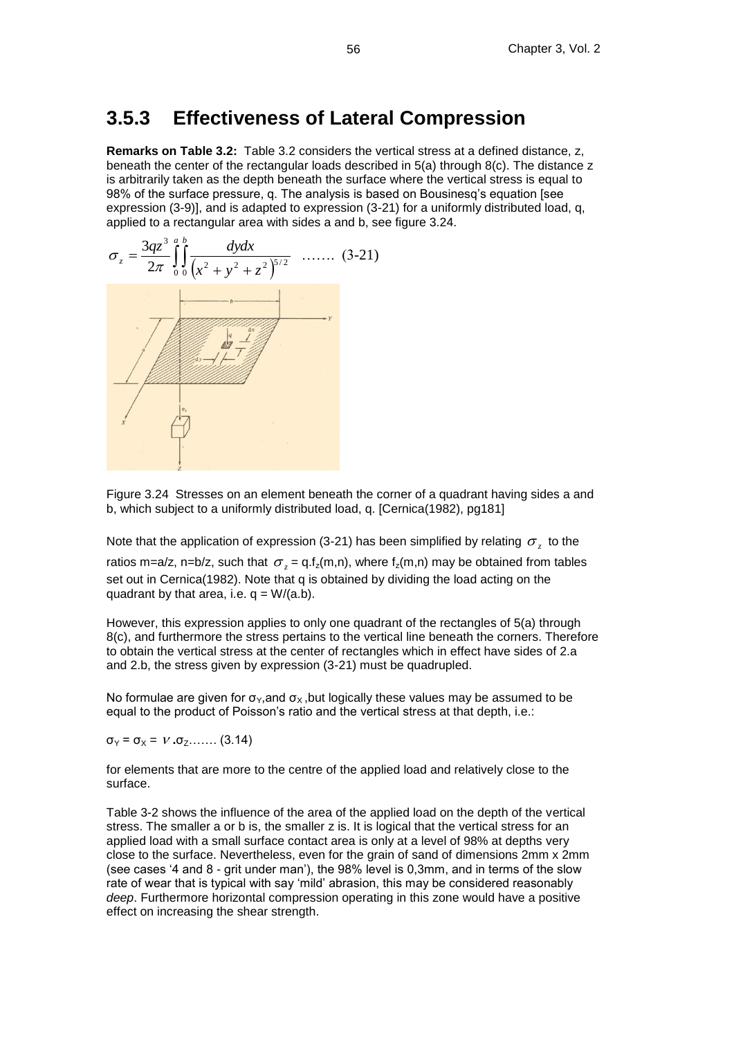### **3.5.3 Effectiveness of Lateral Compression**

**Remarks on Table 3.2:** Table 3.2 considers the vertical stress at a defined distance, z, beneath the center of the rectangular loads described in 5(a) through 8(c). The distance z is arbitrarily taken as the depth beneath the surface where the vertical stress is equal to 98% of the surface pressure, q. The analysis is based on Bousinesq's equation [see expression (3-9)], and is adapted to expression (3-21) for a uniformly distributed load, q, applied to a rectangular area with sides a and b, see figure 3.24.



Figure 3.24 Stresses on an element beneath the corner of a quadrant having sides a and b, which subject to a uniformly distributed load, q. [Cernica(1982), pg181]

Note that the application of expression (3-21) has been simplified by relating  $\sigma_z^{\vphantom{\dagger}}$  to the

ratios m=a/z, n=b/z, such that  $\sigma_z$  = q.f<sub>z</sub>(m,n), where f<sub>z</sub>(m,n) may be obtained from tables set out in Cernica(1982). Note that q is obtained by dividing the load acting on the quadrant by that area, i.e.  $q = W/(a.b)$ .

However, this expression applies to only one quadrant of the rectangles of 5(a) through 8(c), and furthermore the stress pertains to the vertical line beneath the corners. Therefore to obtain the vertical stress at the center of rectangles which in effect have sides of 2.a and 2.b, the stress given by expression (3-21) must be quadrupled.

No formulae are given for  $\sigma_Y$ , and  $\sigma_X$ , but logically these values may be assumed to be equal to the product of Poisson's ratio and the vertical stress at that depth, i.e.:

 $\sigma_Y = \sigma_X = V \cdot \sigma_Z$ ....... (3.14)

for elements that are more to the centre of the applied load and relatively close to the surface.

Table 3-2 shows the influence of the area of the applied load on the depth of the vertical stress. The smaller a or b is, the smaller z is. It is logical that the vertical stress for an applied load with a small surface contact area is only at a level of 98% at depths very close to the surface. Nevertheless, even for the grain of sand of dimensions 2mm x 2mm (see cases '4 and 8 - grit under man'), the 98% level is 0,3mm, and in terms of the slow rate of wear that is typical with say 'mild' abrasion, this may be considered reasonably *deep*. Furthermore horizontal compression operating in this zone would have a positive effect on increasing the shear strength.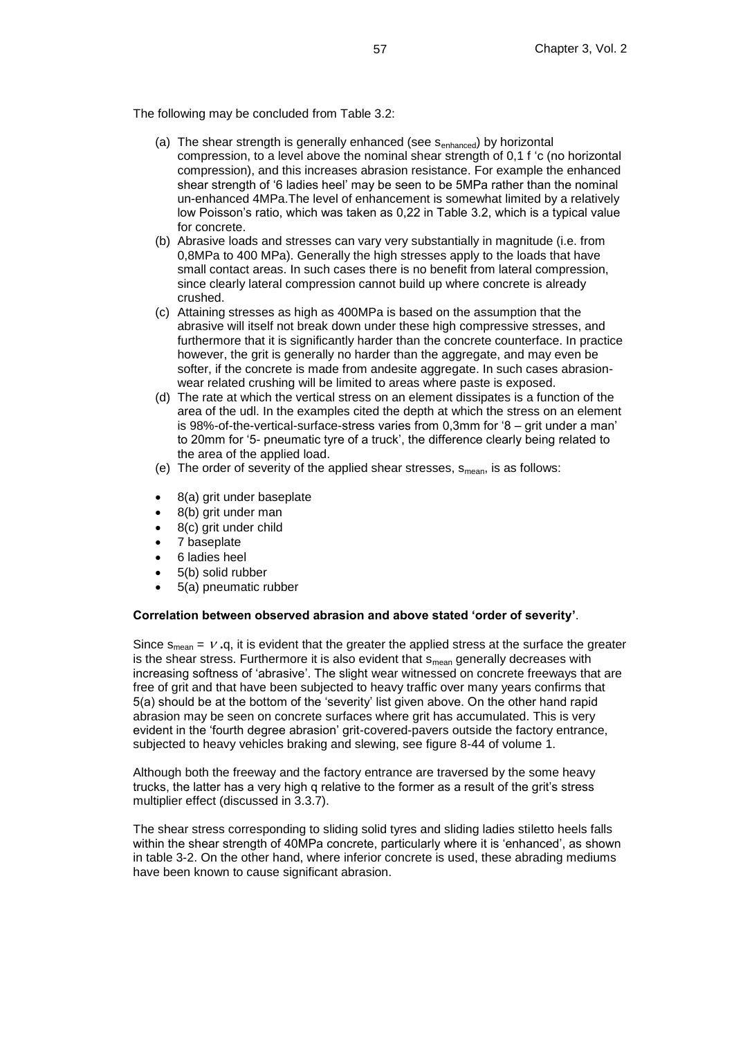The following may be concluded from Table 3.2:

- (a) The shear strength is generally enhanced (see s<sub>enhanced</sub>) by horizontal compression, to a level above the nominal shear strength of 0,1 f 'c (no horizontal compression), and this increases abrasion resistance. For example the enhanced shear strength of '6 ladies heel' may be seen to be 5MPa rather than the nominal un-enhanced 4MPa.The level of enhancement is somewhat limited by a relatively low Poisson's ratio, which was taken as 0,22 in Table 3.2, which is a typical value for concrete.
- (b) Abrasive loads and stresses can vary very substantially in magnitude (i.e. from 0,8MPa to 400 MPa). Generally the high stresses apply to the loads that have small contact areas. In such cases there is no benefit from lateral compression, since clearly lateral compression cannot build up where concrete is already crushed.
- (c) Attaining stresses as high as 400MPa is based on the assumption that the abrasive will itself not break down under these high compressive stresses, and furthermore that it is significantly harder than the concrete counterface. In practice however, the grit is generally no harder than the aggregate, and may even be softer, if the concrete is made from andesite aggregate. In such cases abrasionwear related crushing will be limited to areas where paste is exposed.
- (d) The rate at which the vertical stress on an element dissipates is a function of the area of the udl. In the examples cited the depth at which the stress on an element is 98%-of-the-vertical-surface-stress varies from 0,3mm for '8 – grit under a man' to 20mm for '5- pneumatic tyre of a truck', the difference clearly being related to the area of the applied load.
- (e) The order of severity of the applied shear stresses,  $s_{mean}$ , is as follows:
- 8(a) grit under baseplate
- 8(b) grit under man
- 8(c) grit under child
- 7 baseplate
- 6 ladies heel
- 5(b) solid rubber
- 5(a) pneumatic rubber

#### **Correlation between observed abrasion and above stated 'order of severity'**.

Since  $s_{mean} = V \cdot q$ , it is evident that the greater the applied stress at the surface the greater is the shear stress. Furthermore it is also evident that  $s_{mean}$  generally decreases with increasing softness of 'abrasive'. The slight wear witnessed on concrete freeways that are free of grit and that have been subjected to heavy traffic over many years confirms that 5(a) should be at the bottom of the 'severity' list given above. On the other hand rapid abrasion may be seen on concrete surfaces where grit has accumulated. This is very evident in the 'fourth degree abrasion' grit-covered-pavers outside the factory entrance, subjected to heavy vehicles braking and slewing, see figure 8-44 of volume 1.

Although both the freeway and the factory entrance are traversed by the some heavy trucks, the latter has a very high q relative to the former as a result of the grit's stress multiplier effect (discussed in 3.3.7).

The shear stress corresponding to sliding solid tyres and sliding ladies stiletto heels falls within the shear strength of 40MPa concrete, particularly where it is 'enhanced', as shown in table 3-2. On the other hand, where inferior concrete is used, these abrading mediums have been known to cause significant abrasion.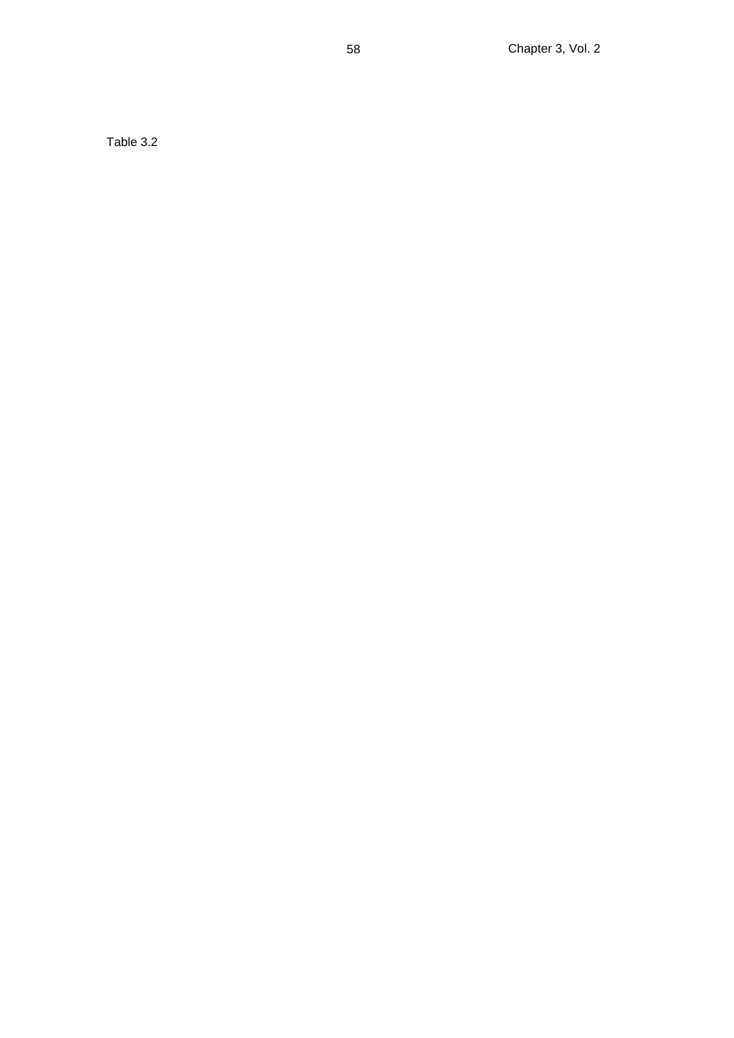Table 3.2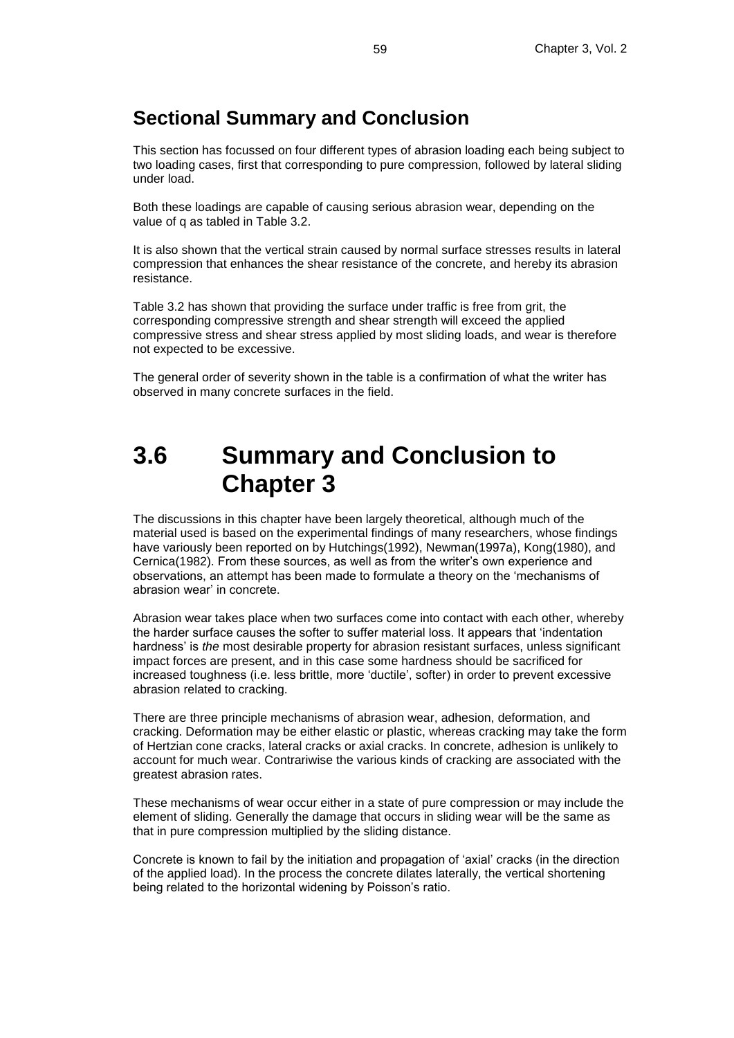### **Sectional Summary and Conclusion**

This section has focussed on four different types of abrasion loading each being subject to two loading cases, first that corresponding to pure compression, followed by lateral sliding under load.

Both these loadings are capable of causing serious abrasion wear, depending on the value of q as tabled in Table 3.2.

It is also shown that the vertical strain caused by normal surface stresses results in lateral compression that enhances the shear resistance of the concrete, and hereby its abrasion resistance.

Table 3.2 has shown that providing the surface under traffic is free from grit, the corresponding compressive strength and shear strength will exceed the applied compressive stress and shear stress applied by most sliding loads, and wear is therefore not expected to be excessive.

The general order of severity shown in the table is a confirmation of what the writer has observed in many concrete surfaces in the field.

# **3.6 Summary and Conclusion to Chapter 3**

The discussions in this chapter have been largely theoretical, although much of the material used is based on the experimental findings of many researchers, whose findings have variously been reported on by Hutchings(1992), Newman(1997a), Kong(1980), and Cernica(1982). From these sources, as well as from the writer's own experience and observations, an attempt has been made to formulate a theory on the 'mechanisms of abrasion wear' in concrete.

Abrasion wear takes place when two surfaces come into contact with each other, whereby the harder surface causes the softer to suffer material loss. It appears that 'indentation hardness' is *the* most desirable property for abrasion resistant surfaces, unless significant impact forces are present, and in this case some hardness should be sacrificed for increased toughness (i.e. less brittle, more 'ductile', softer) in order to prevent excessive abrasion related to cracking.

There are three principle mechanisms of abrasion wear, adhesion, deformation, and cracking. Deformation may be either elastic or plastic, whereas cracking may take the form of Hertzian cone cracks, lateral cracks or axial cracks. In concrete, adhesion is unlikely to account for much wear. Contrariwise the various kinds of cracking are associated with the greatest abrasion rates.

These mechanisms of wear occur either in a state of pure compression or may include the element of sliding. Generally the damage that occurs in sliding wear will be the same as that in pure compression multiplied by the sliding distance.

Concrete is known to fail by the initiation and propagation of 'axial' cracks (in the direction of the applied load). In the process the concrete dilates laterally, the vertical shortening being related to the horizontal widening by Poisson's ratio.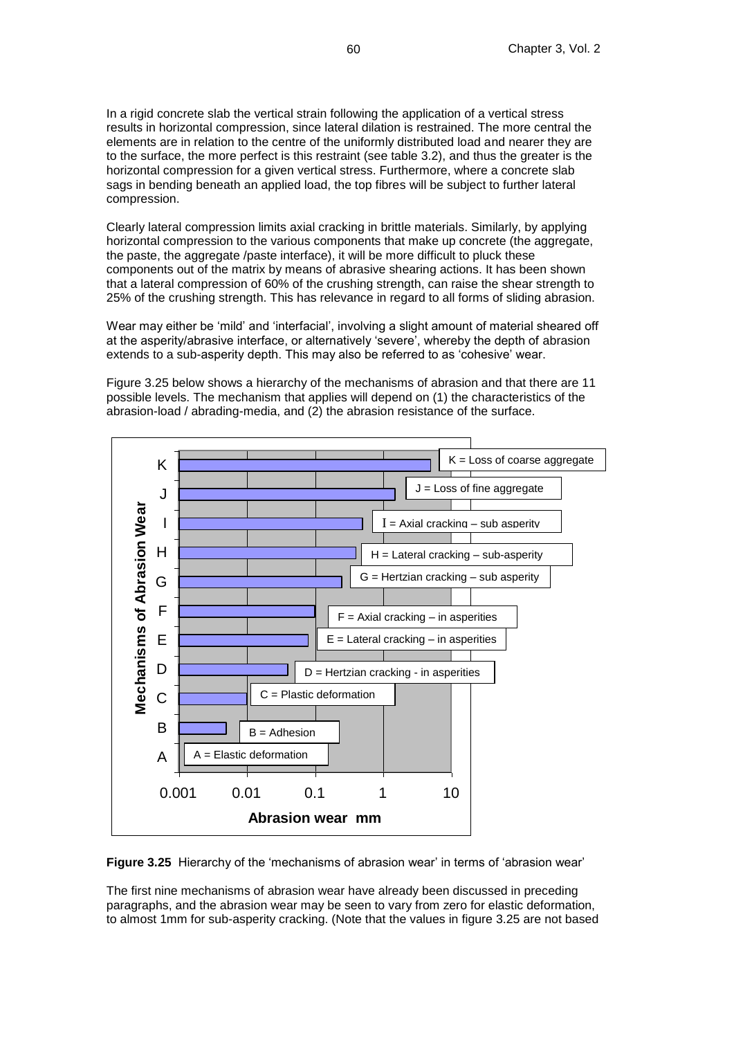In a rigid concrete slab the vertical strain following the application of a vertical stress results in horizontal compression, since lateral dilation is restrained. The more central the elements are in relation to the centre of the uniformly distributed load and nearer they are to the surface, the more perfect is this restraint (see table 3.2), and thus the greater is the horizontal compression for a given vertical stress. Furthermore, where a concrete slab sags in bending beneath an applied load, the top fibres will be subject to further lateral compression.

Clearly lateral compression limits axial cracking in brittle materials. Similarly, by applying horizontal compression to the various components that make up concrete (the aggregate, the paste, the aggregate /paste interface), it will be more difficult to pluck these components out of the matrix by means of abrasive shearing actions. It has been shown that a lateral compression of 60% of the crushing strength, can raise the shear strength to 25% of the crushing strength. This has relevance in regard to all forms of sliding abrasion.

Wear may either be 'mild' and 'interfacial', involving a slight amount of material sheared off at the asperity/abrasive interface, or alternatively 'severe', whereby the depth of abrasion extends to a sub-asperity depth. This may also be referred to as 'cohesive' wear.

Figure 3.25 below shows a hierarchy of the mechanisms of abrasion and that there are 11 possible levels. The mechanism that applies will depend on (1) the characteristics of the abrasion-load / abrading-media, and (2) the abrasion resistance of the surface.



**Figure 3.25** Hierarchy of the 'mechanisms of abrasion wear' in terms of 'abrasion wear'

The first nine mechanisms of abrasion wear have already been discussed in preceding paragraphs, and the abrasion wear may be seen to vary from zero for elastic deformation, to almost 1mm for sub-asperity cracking. (Note that the values in figure 3.25 are not based